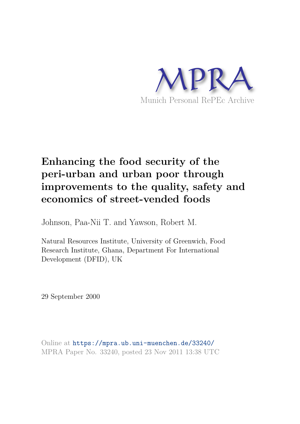

# **Enhancing the food security of the peri-urban and urban poor through improvements to the quality, safety and economics of street-vended foods**

Johnson, Paa-Nii T. and Yawson, Robert M.

Natural Resources Institute, University of Greenwich, Food Research Institute, Ghana, Department For International Development (DFID), UK

29 September 2000

Online at https://mpra.ub.uni-muenchen.de/33240/ MPRA Paper No. 33240, posted 23 Nov 2011 13:38 UTC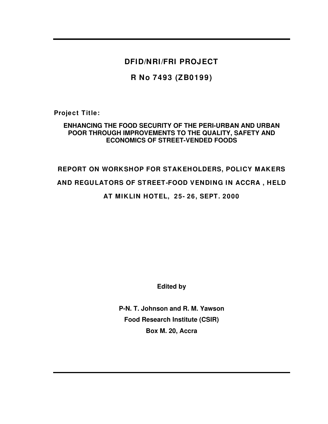**DFID/NRI/FRI PROJECT** 

**R No 7493 (ZB0199)**

**Project Title:** 

# **ENHANCING THE FOOD SECURITY OF THE PERI-URBAN AND URBAN POOR THROUGH IMPROVEMENTS TO THE QUALITY, SAFETY AND ECONOMICS OF STREET-VENDED FOODS**

# **REPORT ON WORKSHOP FOR STAKEHOLDERS, POLICY MAKERS AND REGULATORS OF STREET-FOOD VENDING IN ACCRA , HELD AT MIKLIN HOTEL, 25- 26, SEPT. 2000**

**Edited by** 

**P-N. T. Johnson and R. M. Yawson Food Research Institute (CSIR) Box M. 20, Accra**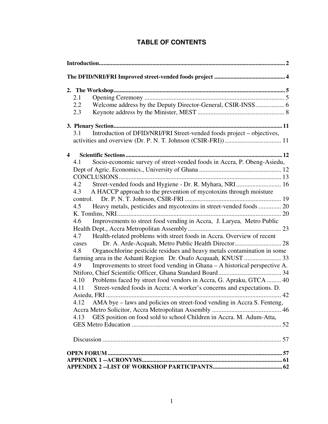| 2.1                                                                                                                                                                                                                                                                                                                                                                                                                                                                                                                                                                                                                                                                                                                                                                                                                                                                                                                                                                                            |
|------------------------------------------------------------------------------------------------------------------------------------------------------------------------------------------------------------------------------------------------------------------------------------------------------------------------------------------------------------------------------------------------------------------------------------------------------------------------------------------------------------------------------------------------------------------------------------------------------------------------------------------------------------------------------------------------------------------------------------------------------------------------------------------------------------------------------------------------------------------------------------------------------------------------------------------------------------------------------------------------|
| Welcome address by the Deputy Director-General, CSIR-INSS 6<br>2.2<br>2.3                                                                                                                                                                                                                                                                                                                                                                                                                                                                                                                                                                                                                                                                                                                                                                                                                                                                                                                      |
|                                                                                                                                                                                                                                                                                                                                                                                                                                                                                                                                                                                                                                                                                                                                                                                                                                                                                                                                                                                                |
| Introduction of DFID/NRI/FRI Street-vended foods project - objectives,<br>3.1                                                                                                                                                                                                                                                                                                                                                                                                                                                                                                                                                                                                                                                                                                                                                                                                                                                                                                                  |
| 4                                                                                                                                                                                                                                                                                                                                                                                                                                                                                                                                                                                                                                                                                                                                                                                                                                                                                                                                                                                              |
| Socio-economic survey of street-vended foods in Accra, P. Obeng-Asiedu,<br>4.1<br>Street-vended foods and Hygiene - Dr. R. Myhara, NRI 16<br>4.2<br>A HACCP approach to the prevention of mycotoxins through moisture<br>4.3<br>Heavy metals, pesticides and mycotoxins in street-vended foods  20<br>4.5<br>Improvements to street food vending in Accra, J. Laryea, Metro Public<br>4.6<br>Health-related problems with street foods in Accra. Overview of recent<br>4.7<br>cases<br>Organochlorine pesticide residues and heavy metals contamination in some<br>4.8<br>Improvements to street food vending in Ghana - A historical perspective A.<br>4.9<br>4.10<br>Problems faced by street food vendors in Accra, G. Apraku, GTCA 40<br>Street-vended foods in Accra: A worker's concerns and expectations. D.<br>4.11<br>AMA bye - laws and policies on street-food vending in Accra S. Fenteng,<br>4.12<br>GES position on food sold to school Children in Accra. M. Adum-Atta,<br>4.13 |
|                                                                                                                                                                                                                                                                                                                                                                                                                                                                                                                                                                                                                                                                                                                                                                                                                                                                                                                                                                                                |
|                                                                                                                                                                                                                                                                                                                                                                                                                                                                                                                                                                                                                                                                                                                                                                                                                                                                                                                                                                                                |

# **TABLE OF CONTENTS**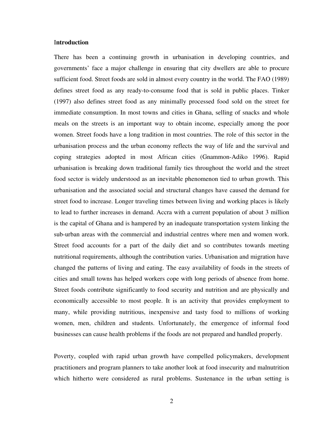#### I**ntroduction**

There has been a continuing growth in urbanisation in developing countries, and governments' face a major challenge in ensuring that city dwellers are able to procure sufficient food. Street foods are sold in almost every country in the world. The FAO (1989) defines street food as any ready-to-consume food that is sold in public places. Tinker (1997) also defines street food as any minimally processed food sold on the street for immediate consumption. In most towns and cities in Ghana, selling of snacks and whole meals on the streets is an important way to obtain income, especially among the poor women. Street foods have a long tradition in most countries. The role of this sector in the urbanisation process and the urban economy reflects the way of life and the survival and coping strategies adopted in most African cities (Gnammon-Adiko 1996). Rapid urbanisation is breaking down traditional family ties throughout the world and the street food sector is widely understood as an inevitable phenomenon tied to urban growth. This urbanisation and the associated social and structural changes have caused the demand for street food to increase. Longer traveling times between living and working places is likely to lead to further increases in demand. Accra with a current population of about 3 million is the capital of Ghana and is hampered by an inadequate transportation system linking the sub-urban areas with the commercial and industrial centres where men and women work. Street food accounts for a part of the daily diet and so contributes towards meeting nutritional requirements, although the contribution varies. Urbanisation and migration have changed the patterns of living and eating. The easy availability of foods in the streets of cities and small towns has helped workers cope with long periods of absence from home. Street foods contribute significantly to food security and nutrition and are physically and economically accessible to most people. It is an activity that provides employment to many, while providing nutritious, inexpensive and tasty food to millions of working women, men, children and students. Unfortunately, the emergence of informal food businesses can cause health problems if the foods are not prepared and handled properly.

Poverty, coupled with rapid urban growth have compelled policymakers, development practitioners and program planners to take another look at food insecurity and malnutrition which hitherto were considered as rural problems. Sustenance in the urban setting is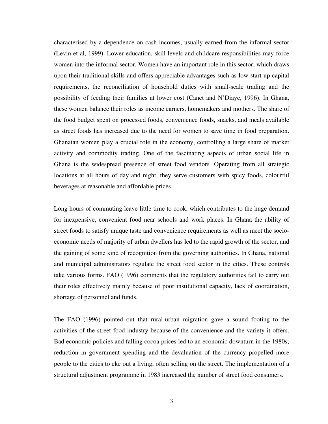characterised by a dependence on cash incomes, usually earned from the informal sector (Levin et al, 1999). Lower education, skill levels and childcare responsibilities may force women into the informal sector. Women have an important role in this sector; which draws upon their traditional skills and offers appreciable advantages such as low-start-up capital requirements, the reconciliation of household duties with small-scale trading and the possibility of feeding their families at lower cost (Canet and N'Diaye, 1996). In Ghana, these women balance their roles as income earners, homemakers and mothers. The share of the food budget spent on processed foods, convenience foods, snacks, and meals available as street foods has increased due to the need for women to save time in food preparation. Ghanaian women play a crucial role in the economy, controlling a large share of market activity and commodity trading. One of the fascinating aspects of urban social life in Ghana is the widespread presence of street food vendors. Operating from all strategic locations at all hours of day and night, they serve customers with spicy foods, colourful beverages at reasonable and affordable prices.

Long hours of commuting leave little time to cook, which contributes to the huge demand for inexpensive, convenient food near schools and work places. In Ghana the ability of street foods to satisfy unique taste and convenience requirements as well as meet the socioeconomic needs of majority of urban dwellers has led to the rapid growth of the sector, and the gaining of some kind of recognition from the governing authorities. In Ghana, national and municipal administrators regulate the street food sector in the cities. These controls take various forms. FAO (1996) comments that the regulatory authorities fail to carry out their roles effectively mainly because of poor institutional capacity, lack of coordination, shortage of personnel and funds.

The FAO (1996) pointed out that rural-urban migration gave a sound footing to the activities of the street food industry because of the convenience and the variety it offers. Bad economic policies and falling cocoa prices led to an economic downturn in the 1980s; reduction in government spending and the devaluation of the currency propelled more people to the cities to eke out a living, often selling on the street. The implementation of a structural adjustment programme in 1983 increased the number of street food consumers.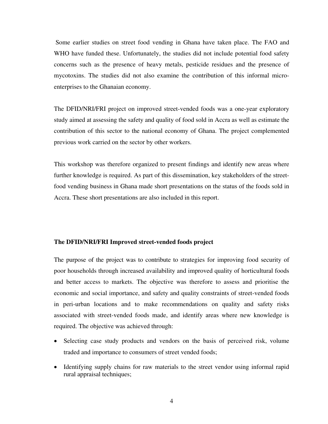Some earlier studies on street food vending in Ghana have taken place. The FAO and WHO have funded these. Unfortunately, the studies did not include potential food safety concerns such as the presence of heavy metals, pesticide residues and the presence of mycotoxins. The studies did not also examine the contribution of this informal microenterprises to the Ghanaian economy.

The DFID/NRI/FRI project on improved street-vended foods was a one-year exploratory study aimed at assessing the safety and quality of food sold in Accra as well as estimate the contribution of this sector to the national economy of Ghana. The project complemented previous work carried on the sector by other workers.

This workshop was therefore organized to present findings and identify new areas where further knowledge is required. As part of this dissemination, key stakeholders of the streetfood vending business in Ghana made short presentations on the status of the foods sold in Accra. These short presentations are also included in this report.

#### **The DFID/NRI/FRI Improved street-vended foods project**

The purpose of the project was to contribute to strategies for improving food security of poor households through increased availability and improved quality of horticultural foods and better access to markets. The objective was therefore to assess and prioritise the economic and social importance, and safety and quality constraints of street-vended foods in peri-urban locations and to make recommendations on quality and safety risks associated with street-vended foods made, and identify areas where new knowledge is required. The objective was achieved through:

- Selecting case study products and vendors on the basis of perceived risk, volume traded and importance to consumers of street vended foods;
- Identifying supply chains for raw materials to the street vendor using informal rapid rural appraisal techniques;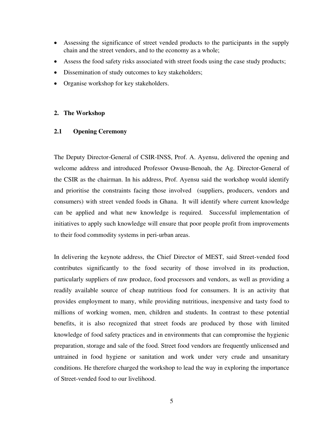- Assessing the significance of street vended products to the participants in the supply chain and the street vendors, and to the economy as a whole;
- Assess the food safety risks associated with street foods using the case study products;
- Dissemination of study outcomes to key stakeholders;
- Organise workshop for key stakeholders.

# **2. The Workshop**

# **2.1 Opening Ceremony**

The Deputy Director-General of CSIR-INSS, Prof. A. Ayensu, delivered the opening and welcome address and introduced Professor Owusu-Benoah, the Ag. Director-General of the CSIR as the chairman. In his address, Prof. Ayensu said the workshop would identify and prioritise the constraints facing those involved (suppliers, producers, vendors and consumers) with street vended foods in Ghana. It will identify where current knowledge can be applied and what new knowledge is required. Successful implementation of initiatives to apply such knowledge will ensure that poor people profit from improvements to their food commodity systems in peri-urban areas.

In delivering the keynote address, the Chief Director of MEST, said Street-vended food contributes significantly to the food security of those involved in its production, particularly suppliers of raw produce, food processors and vendors, as well as providing a readily available source of cheap nutritious food for consumers. It is an activity that provides employment to many, while providing nutritious, inexpensive and tasty food to millions of working women, men, children and students. In contrast to these potential benefits, it is also recognized that street foods are produced by those with limited knowledge of food safety practices and in environments that can compromise the hygienic preparation, storage and sale of the food. Street food vendors are frequently unlicensed and untrained in food hygiene or sanitation and work under very crude and unsanitary conditions. He therefore charged the workshop to lead the way in exploring the importance of Street-vended food to our livelihood.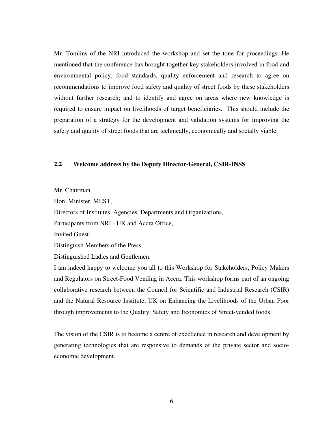Mr. Tomlins of the NRI introduced the workshop and set the tone for proceedings. He mentioned that the conference has brought together key stakeholders involved in food and environmental policy, food standards, quality enforcement and research to agree on recommendations to improve food safety and quality of street foods by these stakeholders without further research; and to identify and agree on areas where new knowledge is required to ensure impact on livelihoods of target beneficiaries. This should include the preparation of a strategy for the development and validation systems for improving the safety and quality of street foods that are technically, economically and socially viable.

## **2.2 Welcome address by the Deputy Director-General, CSIR-INSS**

Mr. Chairman

Hon. Minister, MEST,

Directors of Institutes, Agencies, Departments and Organizations,

Participants from NRI - UK and Accra Office,

Invited Guest,

Distinguish Members of the Press,

Distinguished Ladies and Gentlemen.

I am indeed happy to welcome you all to this Workshop for Stakeholders, Policy Makers and Regulators on Street-Food Vending in Accra. This workshop forms part of an ongoing collaborative research between the Council for Scientific and Industrial Research (CSIR) and the Natural Resource Institute, UK on Enhancing the Livelihoods of the Urban Poor through improvements to the Quality, Safety and Economics of Street-vended foods.

The vision of the CSIR is to become a centre of excellence in research and development by generating technologies that are responsive to demands of the private sector and socioeconomic development.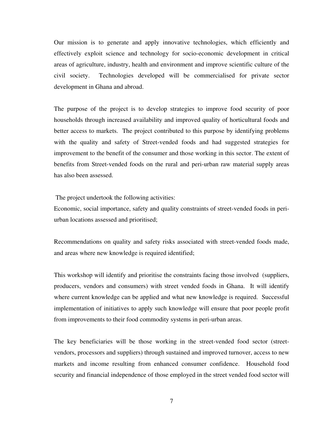Our mission is to generate and apply innovative technologies, which efficiently and effectively exploit science and technology for socio-economic development in critical areas of agriculture, industry, health and environment and improve scientific culture of the civil society. Technologies developed will be commercialised for private sector development in Ghana and abroad.

The purpose of the project is to develop strategies to improve food security of poor households through increased availability and improved quality of horticultural foods and better access to markets. The project contributed to this purpose by identifying problems with the quality and safety of Street-vended foods and had suggested strategies for improvement to the benefit of the consumer and those working in this sector. The extent of benefits from Street-vended foods on the rural and peri-urban raw material supply areas has also been assessed.

The project undertook the following activities:

Economic, social importance, safety and quality constraints of street-vended foods in periurban locations assessed and prioritised;

Recommendations on quality and safety risks associated with street-vended foods made, and areas where new knowledge is required identified;

This workshop will identify and prioritise the constraints facing those involved (suppliers, producers, vendors and consumers) with street vended foods in Ghana. It will identify where current knowledge can be applied and what new knowledge is required. Successful implementation of initiatives to apply such knowledge will ensure that poor people profit from improvements to their food commodity systems in peri-urban areas.

The key beneficiaries will be those working in the street-vended food sector (streetvendors, processors and suppliers) through sustained and improved turnover, access to new markets and income resulting from enhanced consumer confidence. Household food security and financial independence of those employed in the street vended food sector will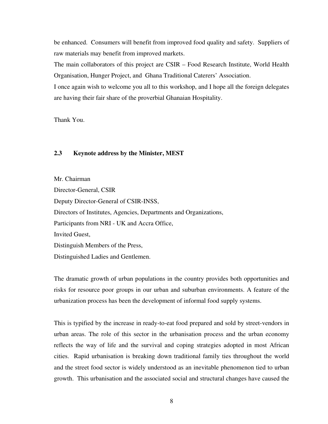be enhanced. Consumers will benefit from improved food quality and safety. Suppliers of raw materials may benefit from improved markets.

The main collaborators of this project are CSIR – Food Research Institute, World Health Organisation, Hunger Project, and Ghana Traditional Caterers' Association.

I once again wish to welcome you all to this workshop, and I hope all the foreign delegates are having their fair share of the proverbial Ghanaian Hospitality.

Thank You.

# **2.3 Keynote address by the Minister, MEST**

Mr. Chairman Director-General, CSIR Deputy Director-General of CSIR-INSS, Directors of Institutes, Agencies, Departments and Organizations, Participants from NRI - UK and Accra Office, Invited Guest, Distinguish Members of the Press, Distinguished Ladies and Gentlemen.

The dramatic growth of urban populations in the country provides both opportunities and risks for resource poor groups in our urban and suburban environments. A feature of the urbanization process has been the development of informal food supply systems.

This is typified by the increase in ready-to-eat food prepared and sold by street-vendors in urban areas. The role of this sector in the urbanisation process and the urban economy reflects the way of life and the survival and coping strategies adopted in most African cities. Rapid urbanisation is breaking down traditional family ties throughout the world and the street food sector is widely understood as an inevitable phenomenon tied to urban growth. This urbanisation and the associated social and structural changes have caused the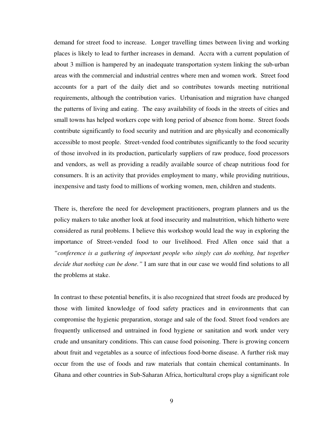demand for street food to increase. Longer travelling times between living and working places is likely to lead to further increases in demand. Accra with a current population of about 3 million is hampered by an inadequate transportation system linking the sub-urban areas with the commercial and industrial centres where men and women work. Street food accounts for a part of the daily diet and so contributes towards meeting nutritional requirements, although the contribution varies. Urbanisation and migration have changed the patterns of living and eating. The easy availability of foods in the streets of cities and small towns has helped workers cope with long period of absence from home. Street foods contribute significantly to food security and nutrition and are physically and economically accessible to most people. Street-vended food contributes significantly to the food security of those involved in its production, particularly suppliers of raw produce, food processors and vendors, as well as providing a readily available source of cheap nutritious food for consumers. It is an activity that provides employment to many, while providing nutritious, inexpensive and tasty food to millions of working women, men, children and students.

There is, therefore the need for development practitioners, program planners and us the policy makers to take another look at food insecurity and malnutrition, which hitherto were considered as rural problems. I believe this workshop would lead the way in exploring the importance of Street-vended food to our livelihood. Fred Allen once said that a *"conference is a gathering of important people who singly can do nothing, but together decide that nothing can be done."* I am sure that in our case we would find solutions to all the problems at stake.

In contrast to these potential benefits, it is also recognized that street foods are produced by those with limited knowledge of food safety practices and in environments that can compromise the hygienic preparation, storage and sale of the food. Street food vendors are frequently unlicensed and untrained in food hygiene or sanitation and work under very crude and unsanitary conditions. This can cause food poisoning. There is growing concern about fruit and vegetables as a source of infectious food-borne disease. A further risk may occur from the use of foods and raw materials that contain chemical contaminants. In Ghana and other countries in Sub-Saharan Africa, horticultural crops play a significant role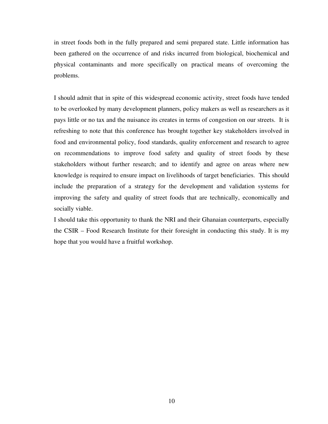in street foods both in the fully prepared and semi prepared state. Little information has been gathered on the occurrence of and risks incurred from biological, biochemical and physical contaminants and more specifically on practical means of overcoming the problems.

I should admit that in spite of this widespread economic activity, street foods have tended to be overlooked by many development planners, policy makers as well as researchers as it pays little or no tax and the nuisance its creates in terms of congestion on our streets. It is refreshing to note that this conference has brought together key stakeholders involved in food and environmental policy, food standards, quality enforcement and research to agree on recommendations to improve food safety and quality of street foods by these stakeholders without further research; and to identify and agree on areas where new knowledge is required to ensure impact on livelihoods of target beneficiaries. This should include the preparation of a strategy for the development and validation systems for improving the safety and quality of street foods that are technically, economically and socially viable.

I should take this opportunity to thank the NRI and their Ghanaian counterparts, especially the CSIR – Food Research Institute for their foresight in conducting this study. It is my hope that you would have a fruitful workshop.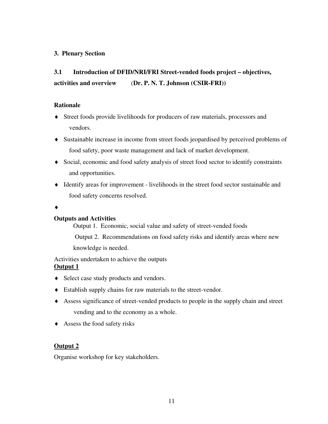# **3. Plenary Section**

# **3.1 Introduction of DFID/NRI/FRI Street-vended foods project – objectives, activities and overview** (**Dr. P. N. T. Johnson (CSIR-FRI))**

# **Rationale**

- Street foods provide livelihoods for producers of raw materials, processors and vendors.
- Sustainable increase in income from street foods jeopardised by perceived problems of food safety, poor waste management and lack of market development.
- Social, economic and food safety analysis of street food sector to identify constraints and opportunities.
- Identify areas for improvement livelihoods in the street food sector sustainable and food safety concerns resolved.
- $\blacklozenge$

# **Outputs and Activities**

Output 1. Economic, social value and safety of street-vended foods

Output 2. Recommendations on food safety risks and identify areas where new

knowledge is needed.

Activities undertaken to achieve the outputs **Output 1**

- Select case study products and vendors.
- Establish supply chains for raw materials to the street-vendor.
- Assess significance of street-vended products to people in the supply chain and street vending and to the economy as a whole.
- Assess the food safety risks

# **Output 2**

Organise workshop for key stakeholders.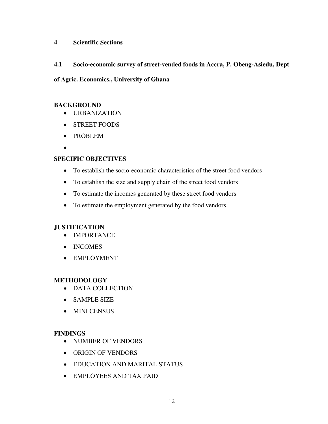# **4 Scientific Sections**

**4.1 Socio-economic survey of street-vended foods in Accra, P. Obeng-Asiedu, Dept** 

# **of Agric. Economics., University of Ghana**

# **BACKGROUND**

- URBANIZATION
- STREET FOODS
- PROBLEM
- $\bullet$

# **SPECIFIC OBJECTIVES**

- To establish the socio-economic characteristics of the street food vendors
- To establish the size and supply chain of the street food vendors
- To estimate the incomes generated by these street food vendors
- To estimate the employment generated by the food vendors

# **JUSTIFICATION**

- IMPORTANCE
- INCOMES
- EMPLOYMENT

# **METHODOLOGY**

- DATA COLLECTION
- SAMPLE SIZE
- MINI CENSUS

# **FINDINGS**

- NUMBER OF VENDORS
- ORIGIN OF VENDORS
- EDUCATION AND MARITAL STATUS
- EMPLOYEES AND TAX PAID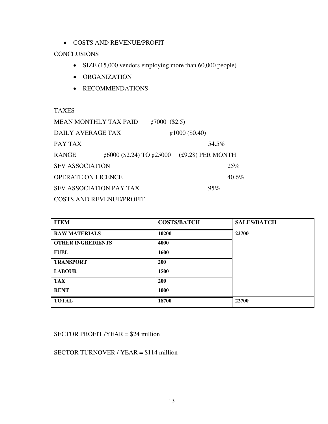COSTS AND REVENUE/PROFIT

# **CONCLUSIONS**

- SIZE (15,000 vendors employing more than 60,000 people)
- ORGANIZATION
- RECOMMENDATIONS

TAXES

| <b>MEAN MONTHLY TAX PAID</b><br>$\& 7000$ (\$2.5) |                                            |                         |  |       |          |  |  |
|---------------------------------------------------|--------------------------------------------|-------------------------|--|-------|----------|--|--|
| DAILY AVERAGE TAX                                 |                                            | $\varphi$ 1000 (\$0.40) |  |       |          |  |  |
| PAY TAX                                           |                                            |                         |  | 54.5% |          |  |  |
| <b>RANGE</b>                                      | ¢6000 (\$2.24) TO ¢25000 (£9.28) PER MONTH |                         |  |       |          |  |  |
| <b>SFV ASSOCIATION</b>                            |                                            |                         |  |       | 25%      |  |  |
| <b>OPERATE ON LICENCE</b>                         |                                            |                         |  |       | $40.6\%$ |  |  |
| <b>SFV ASSOCIATION PAY TAX</b>                    |                                            |                         |  | 95%   |          |  |  |
| <b>COSTS AND REVENUE/PROFIT</b>                   |                                            |                         |  |       |          |  |  |

| <b>ITEM</b>              | <b>COSTS/BATCH</b> | <b>SALES/BATCH</b> |
|--------------------------|--------------------|--------------------|
| <b>RAW MATERIALS</b>     | 10200              | 22700              |
| <b>OTHER INGREDIENTS</b> | 4000               |                    |
| <b>FUEL</b>              | 1600               |                    |
| <b>TRANSPORT</b>         | 200                |                    |
| <b>LABOUR</b>            | 1500               |                    |
| <b>TAX</b>               | 200                |                    |
| <b>RENT</b>              | 1000               |                    |
| <b>TOTAL</b>             | 18700              | 22700              |

SECTOR PROFIT /YEAR = \$24 million

SECTOR TURNOVER / YEAR = \$114 million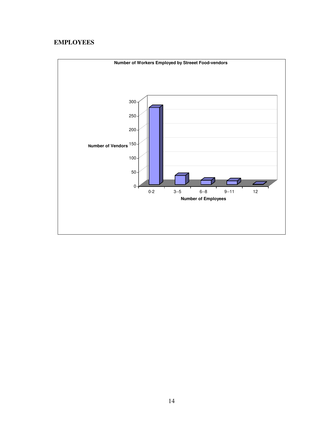# **EMPLOYEES**

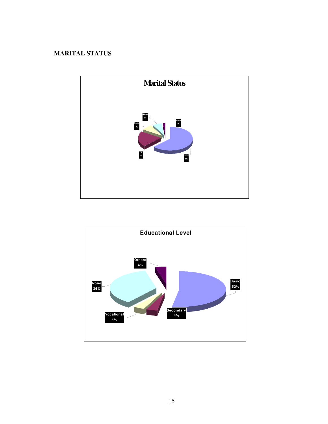# **MARITAL STATUS**



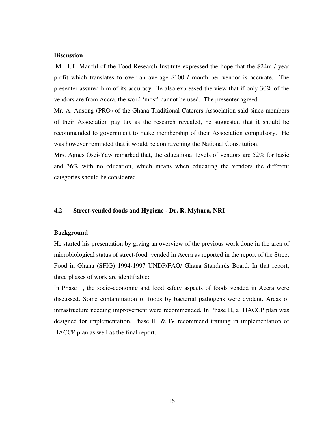#### **Discussion**

Mr. J.T. Manful of the Food Research Institute expressed the hope that the \$24m / year profit which translates to over an average \$100 / month per vendor is accurate. The presenter assured him of its accuracy. He also expressed the view that if only 30% of the vendors are from Accra, the word 'most' cannot be used. The presenter agreed.

Mr. A. Ansong (PRO) of the Ghana Traditional Caterers Association said since members of their Association pay tax as the research revealed, he suggested that it should be recommended to government to make membership of their Association compulsory. He was however reminded that it would be contravening the National Constitution.

Mrs. Agnes Osei-Yaw remarked that, the educational levels of vendors are 52% for basic and 36% with no education, which means when educating the vendors the different categories should be considered.

# **4.2 Street-vended foods and Hygiene - Dr. R. Myhara, NRI**

#### **Background**

He started his presentation by giving an overview of the previous work done in the area of microbiological status of street-food vended in Accra as reported in the report of the Street Food in Ghana (SFIG) 1994-1997 UNDP/FAO/ Ghana Standards Board. In that report, three phases of work are identifiable:

In Phase 1, the socio-economic and food safety aspects of foods vended in Accra were discussed. Some contamination of foods by bacterial pathogens were evident. Areas of infrastructure needing improvement were recommended. In Phase II, a HACCP plan was designed for implementation. Phase III & IV recommend training in implementation of HACCP plan as well as the final report.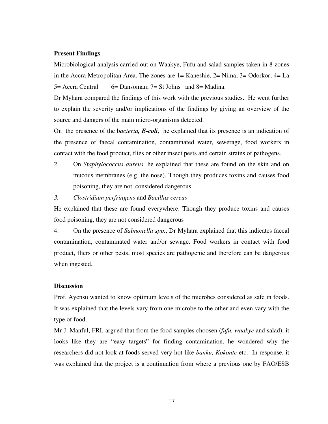#### **Present Findings**

Microbiological analysis carried out on Waakye, Fufu and salad samples taken in 8 zones in the Accra Metropolitan Area. The zones are 1= Kaneshie, 2= Nima; 3= Odorkor; 4= La 5= Accra Central 6= Dansoman; 7= St Johns and 8= Madina.

Dr Myhara compared the findings of this work with the previous studies. He went further to explain the severity and/or implications of the findings by giving an overview of the source and dangers of the main micro-organisms detected.

On the presence of the b*acteria, E-coli,* he explained that its presence is an indication of the presence of faecal contamination, contaminated water, sewerage, food workers in contact with the food product, flies or other insect pests and certain strains of pathogens.

- 2. On *Staphylococcus aureus,* he explained that these are found on the skin and on mucous membranes (e.g. the nose). Though they produces toxins and causes food poisoning, they are not considered dangerous.
- *3. Clostridium perfringens* and *Bacillus cereus*

He explained that these are found everywhere. Though they produce toxins and causes food poisoning, they are not considered dangerous

4. On the presence of *Salmonella spp.*, Dr Myhara explained that this indicates faecal contamination, contaminated water and/or sewage. Food workers in contact with food product, fliers or other pests, most species are pathogenic and therefore can be dangerous when ingested.

### **Discussion**

Prof. Ayensu wanted to know optimum levels of the microbes considered as safe in foods. It was explained that the levels vary from one microbe to the other and even vary with the type of food.

Mr J. Manful, FRI, argued that from the food samples choosen (*fufu, waakye* and salad), it looks like they are "easy targets" for finding contamination, he wondered why the researchers did not look at foods served very hot like *banku, Kokonte* etc. In response, it was explained that the project is a continuation from where a previous one by FAO/ESB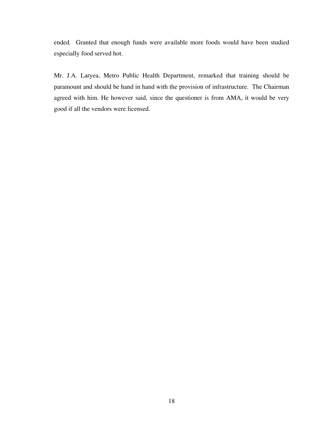ended. Granted that enough funds were available more foods would have been studied especially food served hot.

Mr. J.A. Laryea, Metro Public Health Department, remarked that training should be paramount and should be hand in hand with the provision of infrastructure. The Chairman agreed with him. He however said, since the questioner is from AMA, it would be very good if all the vendors were licensed.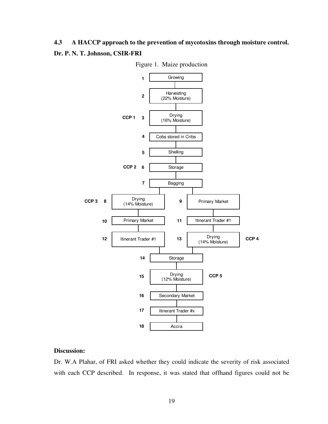# **4.3 A HACCP approach to the prevention of mycotoxins through moisture control. Dr. P. N. T. Johnson, CSIR-FRI**





# **Discussion:**

Dr. W.A Plahar, of FRI asked whether they could indicate the severity of risk associated with each CCP described. In response, it was stated that offhand figures could not be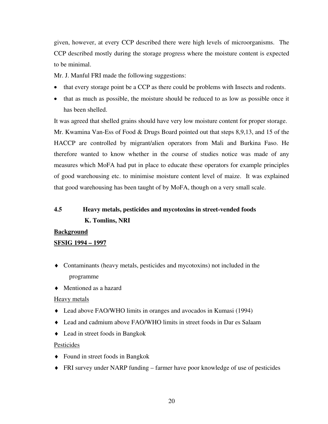given, however, at every CCP described there were high levels of microorganisms. The CCP described mostly during the storage progress where the moisture content is expected to be minimal.

Mr. J. Manful FRI made the following suggestions:

- that every storage point be a CCP as there could be problems with Insects and rodents.
- that as much as possible, the moisture should be reduced to as low as possible once it has been shelled.

It was agreed that shelled grains should have very low moisture content for proper storage. Mr. Kwamina Van-Ess of Food & Drugs Board pointed out that steps 8,9,13, and 15 of the HACCP are controlled by migrant/alien operators from Mali and Burkina Faso. He therefore wanted to know whether in the course of studies notice was made of any measures which MoFA had put in place to educate these operators for example principles of good warehousing etc. to minimise moisture content level of maize. It was explained that good warehousing has been taught of by MoFA, though on a very small scale.

# **4.5 Heavy metals, pesticides and mycotoxins in street-vended foods K. Tomlins, NRI**

### **Background**

# **SFSIG 1994 – 1997**

- Contaminants (heavy metals, pesticides and mycotoxins) not included in the programme
- Mentioned as a hazard

### Heavy metals

- Lead above FAO/WHO limits in oranges and avocados in Kumasi (1994)
- Lead and cadmium above FAO/WHO limits in street foods in Dar es Salaam
- Lead in street foods in Bangkok

### Pesticides

- ◆ Found in street foods in Bangkok
- FRI survey under NARP funding farmer have poor knowledge of use of pesticides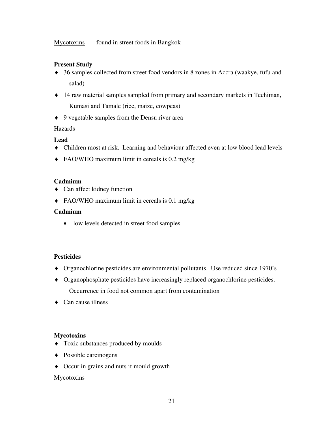Mycotoxins - found in street foods in Bangkok

# **Present Study**

- 36 samples collected from street food vendors in 8 zones in Accra (waakye, fufu and salad)
- 14 raw material samples sampled from primary and secondary markets in Techiman, Kumasi and Tamale (rice, maize, cowpeas)
- ◆ 9 vegetable samples from the Densu river area

# Hazards

# **Lead**

- Children most at risk. Learning and behaviour affected even at low blood lead levels
- ◆ FAO/WHO maximum limit in cereals is 0.2 mg/kg

# **Cadmium**

- Can affect kidney function
- FAO/WHO maximum limit in cereals is 0.1 mg/kg

# **Cadmium**

• low levels detected in street food samples

# **Pesticides**

- Organochlorine pesticides are environmental pollutants. Use reduced since 1970's
- Organophosphate pesticides have increasingly replaced organochlorine pesticides. Occurrence in food not common apart from contamination
- ◆ Can cause illness

# **Mycotoxins**

- Toxic substances produced by moulds
- Possible carcinogens
- Occur in grains and nuts if mould growth

# Mycotoxins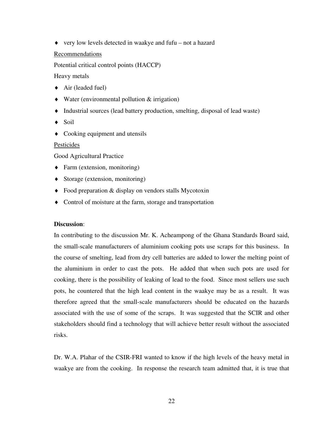very low levels detected in waakye and fufu – not a hazard

### Recommendations

Potential critical control points (HACCP)

Heavy metals

- $\triangleleft$  Air (leaded fuel)
- Water (environmental pollution & irrigation)
- Industrial sources (lead battery production, smelting, disposal of lead waste)
- ◆ Soil
- Cooking equipment and utensils

### Pesticides

Good Agricultural Practice

- Farm (extension, monitoring)
- Storage (extension, monitoring)
- Food preparation & display on vendors stalls Mycotoxin
- Control of moisture at the farm, storage and transportation

# **Discussion**:

In contributing to the discussion Mr. K. Acheampong of the Ghana Standards Board said, the small-scale manufacturers of aluminium cooking pots use scraps for this business. In the course of smelting, lead from dry cell batteries are added to lower the melting point of the aluminium in order to cast the pots. He added that when such pots are used for cooking, there is the possibility of leaking of lead to the food. Since most sellers use such pots, he countered that the high lead content in the waakye may be as a result. It was therefore agreed that the small-scale manufacturers should be educated on the hazards associated with the use of some of the scraps. It was suggested that the SCIR and other stakeholders should find a technology that will achieve better result without the associated risks.

Dr. W.A. Plahar of the CSIR-FRI wanted to know if the high levels of the heavy metal in waakye are from the cooking. In response the research team admitted that, it is true that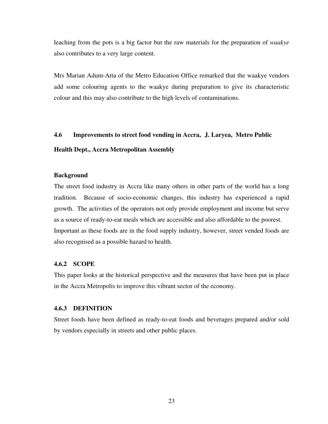leaching from the pots is a big factor but the raw materials for the preparation of *waakye*  also contributes to a very large content.

Mrs Marian Adum-Atta of the Metro Education Office remarked that the waakye vendors add some colouring agents to the waakye during preparation to give its characteristic colour and this may also contribute to the high levels of contaminations.

#### **4.6 Improvements to street food vending in Accra, J. Laryea, Metro Public**

#### **Health Dept., Accra Metropolitan Assembly**

#### **Background**

The street food industry in Accra like many others in other parts of the world has a long tradition. Because of socio-economic changes, this industry has experienced a rapid growth. The activities of the operators not only provide employment and income but serve as a source of ready-to-eat meals which are accessible and also affordable to the poorest. Important as these foods are in the food supply industry, however, street vended foods are also recognised as a possible hazard to health.

#### **4.6.2 SCOPE**

This paper looks at the historical perspective and the measures that have been put in place in the Accra Metropolis to improve this vibrant sector of the economy.

#### **4.6.3 DEFINITION**

Street foods have been defined as ready-to-eat foods and beverages prepared and/or sold by vendors especially in streets and other public places.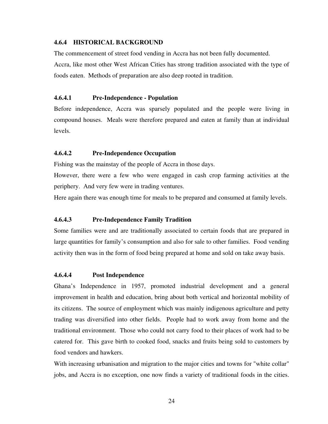### **4.6.4 HISTORICAL BACKGROUND**

The commencement of street food vending in Accra has not been fully documented. Accra, like most other West African Cities has strong tradition associated with the type of

# **4.6.4.1 Pre-Independence - Population**

Before independence, Accra was sparsely populated and the people were living in compound houses. Meals were therefore prepared and eaten at family than at individual levels.

# **4.6.4.2 Pre-Independence Occupation**

Fishing was the mainstay of the people of Accra in those days.

foods eaten. Methods of preparation are also deep rooted in tradition.

However, there were a few who were engaged in cash crop farming activities at the periphery. And very few were in trading ventures.

Here again there was enough time for meals to be prepared and consumed at family levels.

# **4.6.4.3 Pre-Independence Family Tradition**

Some families were and are traditionally associated to certain foods that are prepared in large quantities for family's consumption and also for sale to other families. Food vending activity then was in the form of food being prepared at home and sold on take away basis.

# **4.6.4.4 Post Independence**

Ghana's Independence in 1957, promoted industrial development and a general improvement in health and education, bring about both vertical and horizontal mobility of its citizens. The source of employment which was mainly indigenous agriculture and petty trading was diversified into other fields. People had to work away from home and the traditional environment. Those who could not carry food to their places of work had to be catered for. This gave birth to cooked food, snacks and fruits being sold to customers by food vendors and hawkers.

With increasing urbanisation and migration to the major cities and towns for "white collar" jobs, and Accra is no exception, one now finds a variety of traditional foods in the cities.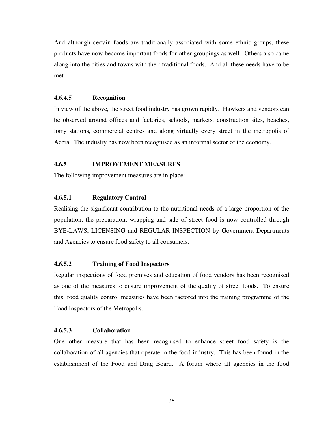And although certain foods are traditionally associated with some ethnic groups, these products have now become important foods for other groupings as well. Others also came along into the cities and towns with their traditional foods. And all these needs have to be met.

### **4.6.4.5 Recognition**

In view of the above, the street food industry has grown rapidly. Hawkers and vendors can be observed around offices and factories, schools, markets, construction sites, beaches, lorry stations, commercial centres and along virtually every street in the metropolis of Accra. The industry has now been recognised as an informal sector of the economy.

## **4.6.5 IMPROVEMENT MEASURES**

The following improvement measures are in place:

# **4.6.5.1 Regulatory Control**

Realising the significant contribution to the nutritional needs of a large proportion of the population, the preparation, wrapping and sale of street food is now controlled through BYE-LAWS, LICENSING and REGULAR INSPECTION by Government Departments and Agencies to ensure food safety to all consumers.

# **4.6.5.2 Training of Food Inspectors**

Regular inspections of food premises and education of food vendors has been recognised as one of the measures to ensure improvement of the quality of street foods. To ensure this, food quality control measures have been factored into the training programme of the Food Inspectors of the Metropolis.

# **4.6.5.3 Collaboration**

One other measure that has been recognised to enhance street food safety is the collaboration of all agencies that operate in the food industry. This has been found in the establishment of the Food and Drug Board. A forum where all agencies in the food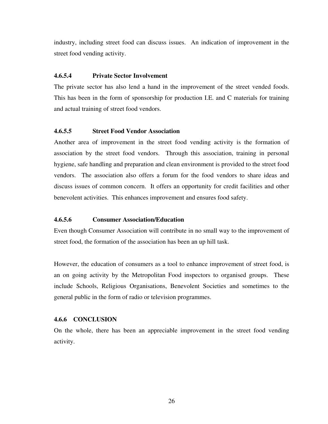industry, including street food can discuss issues. An indication of improvement in the street food vending activity.

# **4.6.5.4 Private Sector Involvement**

The private sector has also lend a hand in the improvement of the street vended foods. This has been in the form of sponsorship for production I.E. and C materials for training and actual training of street food vendors.

# **4.6.5.5 Street Food Vendor Association**

Another area of improvement in the street food vending activity is the formation of association by the street food vendors. Through this association, training in personal hygiene, safe handling and preparation and clean environment is provided to the street food vendors. The association also offers a forum for the food vendors to share ideas and discuss issues of common concern. It offers an opportunity for credit facilities and other benevolent activities. This enhances improvement and ensures food safety.

### **4.6.5.6 Consumer Association/Education**

Even though Consumer Association will contribute in no small way to the improvement of street food, the formation of the association has been an up hill task.

However, the education of consumers as a tool to enhance improvement of street food, is an on going activity by the Metropolitan Food inspectors to organised groups. These include Schools, Religious Organisations, Benevolent Societies and sometimes to the general public in the form of radio or television programmes.

#### **4.6.6 CONCLUSION**

On the whole, there has been an appreciable improvement in the street food vending activity.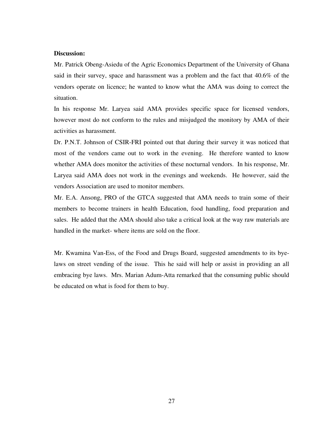## **Discussion:**

Mr. Patrick Obeng-Asiedu of the Agric Economics Department of the University of Ghana said in their survey, space and harassment was a problem and the fact that 40.6% of the vendors operate on licence; he wanted to know what the AMA was doing to correct the situation.

In his response Mr. Laryea said AMA provides specific space for licensed vendors, however most do not conform to the rules and misjudged the monitory by AMA of their activities as harassment.

Dr. P.N.T. Johnson of CSIR-FRI pointed out that during their survey it was noticed that most of the vendors came out to work in the evening. He therefore wanted to know whether AMA does monitor the activities of these nocturnal vendors. In his response, Mr. Laryea said AMA does not work in the evenings and weekends. He however, said the vendors Association are used to monitor members.

Mr. E.A. Ansong, PRO of the GTCA suggested that AMA needs to train some of their members to become trainers in health Education, food handling, food preparation and sales. He added that the AMA should also take a critical look at the way raw materials are handled in the market- where items are sold on the floor.

Mr. Kwamina Van-Ess, of the Food and Drugs Board, suggested amendments to its byelaws on street vending of the issue. This he said will help or assist in providing an all embracing bye laws. Mrs. Marian Adum-Atta remarked that the consuming public should be educated on what is food for them to buy.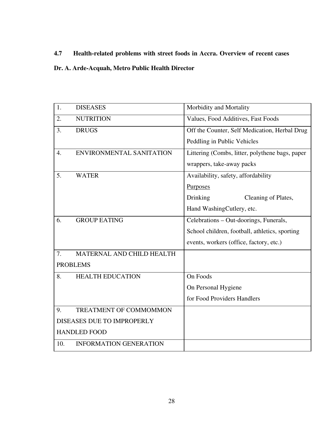# **4.7 Health-related problems with street foods in Accra. Overview of recent cases**

# **Dr. A. Arde-Acquah, Metro Public Health Director**

| 1.  | <b>DISEASES</b>               | Morbidity and Mortality                         |
|-----|-------------------------------|-------------------------------------------------|
| 2.  | <b>NUTRITION</b>              | Values, Food Additives, Fast Foods              |
| 3.  | <b>DRUGS</b>                  | Off the Counter, Self Medication, Herbal Drug   |
|     |                               | Peddling in Public Vehicles                     |
| 4.  | ENVIRONMENTAL SANITATION      | Littering (Combs, litter, polythene bags, paper |
|     |                               | wrappers, take-away packs                       |
| 5.  | <b>WATER</b>                  | Availability, safety, affordability             |
|     |                               | <b>Purposes</b>                                 |
|     |                               | Cleaning of Plates,<br>Drinking                 |
|     |                               | Hand WashingCutlery, etc.                       |
| 6.  | <b>GROUP EATING</b>           | Celebrations - Out-doorings, Funerals,          |
|     |                               | School children, football, athletics, sporting  |
|     |                               | events, workers (office, factory, etc.)         |
| 7.  | MATERNAL AND CHILD HEALTH     |                                                 |
|     | <b>PROBLEMS</b>               |                                                 |
| 8.  | <b>HEALTH EDUCATION</b>       | On Foods                                        |
|     |                               | On Personal Hygiene                             |
|     |                               | for Food Providers Handlers                     |
| 9.  | <b>TREATMENT OF COMMOMMON</b> |                                                 |
|     | DISEASES DUE TO IMPROPERLY    |                                                 |
|     | <b>HANDLED FOOD</b>           |                                                 |
| 10. | <b>INFORMATION GENERATION</b> |                                                 |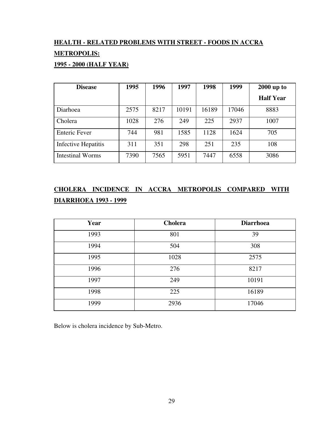# **HEALTH - RELATED PROBLEMS WITH STREET - FOODS IN ACCRA METROPOLIS:**

# **1995 - 2000 (HALF YEAR)**

| <b>Disease</b>          | 1995 | 1996 | 1997  | 1998  | 1999  | $2000$ up to     |
|-------------------------|------|------|-------|-------|-------|------------------|
|                         |      |      |       |       |       | <b>Half Year</b> |
| Diarhoea                | 2575 | 8217 | 10191 | 16189 | 17046 | 8883             |
| Cholera                 | 1028 | 276  | 249   | 225   | 2937  | 1007             |
| <b>Enteric Fever</b>    | 744  | 981  | 1585  | 1128  | 1624  | 705              |
| Infective Hepatitis     | 311  | 351  | 298   | 251   | 235   | 108              |
| <b>Intestinal Worms</b> | 7390 | 7565 | 5951  | 7447  | 6558  | 3086             |

# **CHOLERA INCIDENCE IN ACCRA METROPOLIS COMPARED WITH DIARRHOEA 1993 - 1999**

| Year | <b>Cholera</b> | <b>Diarrhoea</b> |
|------|----------------|------------------|
| 1993 | 801            | 39               |
| 1994 | 504            | 308              |
| 1995 | 1028           | 2575             |
| 1996 | 276            | 8217             |
| 1997 | 249            | 10191            |
| 1998 | 225            | 16189            |
| 1999 | 2936           | 17046            |

Below is cholera incidence by Sub-Metro.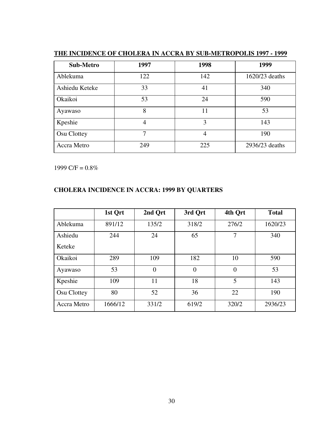| Sub-Metro      | 1997 | 1998 | 1999           |
|----------------|------|------|----------------|
| Ablekuma       | 122  | 142  | 1620/23 deaths |
| Ashiedu Keteke | 33   | 41   | 340            |
| Okaikoi        | 53   | 24   | 590            |
| Ayawaso        | 8    | 11   | 53             |
| Kpeshie        | 4    | 3    | 143            |
| Osu Clottey    | 7    | 4    | 190            |
| Accra Metro    | 249  | 225  | 2936/23 deaths |

# **THE INCIDENCE OF CHOLERA IN ACCRA BY SUB-METROPOLIS 1997 - 1999**

1999 C/F =  $0.8\%$ 

# **CHOLERA INCIDENCE IN ACCRA: 1999 BY QUARTERS**

|             | 1st Qrt | 2nd Qrt        | 3rd Qrt  | 4th Qrt        | <b>Total</b> |
|-------------|---------|----------------|----------|----------------|--------------|
| Ablekuma    | 891/12  | 135/2          | 318/2    | 276/2          | 1620/23      |
| Ashiedu     | 244     | 24             | 65       | 7              | 340          |
| Keteke      |         |                |          |                |              |
| Okaikoi     | 289     | 109            | 182      | 10             | 590          |
| Ayawaso     | 53      | $\overline{0}$ | $\theta$ | $\overline{0}$ | 53           |
| Kpeshie     | 109     | 11             | 18       | 5              | 143          |
| Osu Clottey | 80      | 52             | 36       | 22             | 190          |
| Accra Metro | 1666/12 | 331/2          | 619/2    | 320/2          | 2936/23      |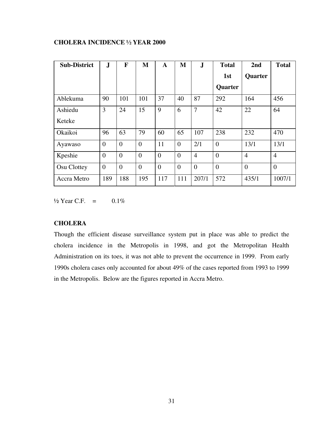# **CHOLERA INCIDENCE ½ YEAR 2000**

| <b>Sub-District</b> | $\mathbf{J}$   | F              | M        | $\mathbf{A}$ | M              | $\mathbf{J}$   | <b>Total</b>   | 2nd            | <b>Total</b>   |
|---------------------|----------------|----------------|----------|--------------|----------------|----------------|----------------|----------------|----------------|
|                     |                |                |          |              |                |                | 1st            | Quarter        |                |
|                     |                |                |          |              |                |                | Quarter        |                |                |
| Ablekuma            | 90             | 101            | 101      | 37           | 40             | 87             | 292            | 164            | 456            |
| Ashiedu             | 3              | 24             | 15       | 9            | 6              | $\overline{7}$ | 42             | 22             | 64             |
| Keteke              |                |                |          |              |                |                |                |                |                |
| Okaikoi             | 96             | 63             | 79       | 60           | 65             | 107            | 238            | 232            | 470            |
| Ayawaso             | $\overline{0}$ | $\overline{0}$ | $\theta$ | 11           | $\overline{0}$ | 2/1            | $\overline{0}$ | 13/1           | 13/1           |
| Kpeshie             | $\overline{0}$ | $\theta$       | $\theta$ | $\theta$     | $\theta$       | $\overline{4}$ | $\overline{0}$ | $\overline{4}$ | $\overline{4}$ |
| Osu Clottey         | $\overline{0}$ | $\Omega$       | $\Omega$ | $\theta$     | $\theta$       | $\overline{0}$ | $\overline{0}$ | $\overline{0}$ | $\overline{0}$ |
| Accra Metro         | 189            | 188            | 195      | 117          | 111            | 207/1          | 572            | 435/1          | 1007/1         |

 $\frac{1}{2}$  Year C.F. = 0.1%

# **CHOLERA**

Though the efficient disease surveillance system put in place was able to predict the cholera incidence in the Metropolis in 1998, and got the Metropolitan Health Administration on its toes, it was not able to prevent the occurrence in 1999. From early 1990s cholera cases only accounted for about 49% of the cases reported from 1993 to 1999 in the Metropolis. Below are the figures reported in Accra Metro.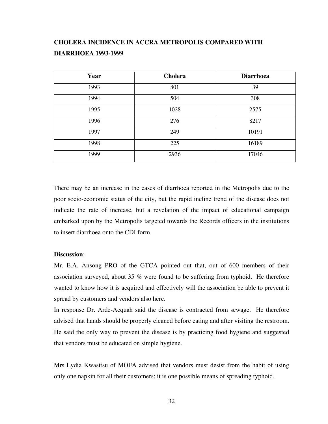# **CHOLERA INCIDENCE IN ACCRA METROPOLIS COMPARED WITH DIARRHOEA 1993-1999**

| Year | <b>Cholera</b> | <b>Diarrhoea</b> |
|------|----------------|------------------|
| 1993 | 801            | 39               |
| 1994 | 504            | 308              |
| 1995 | 1028           | 2575             |
| 1996 | 276            | 8217             |
| 1997 | 249            | 10191            |
| 1998 | 225            | 16189            |
| 1999 | 2936           | 17046            |

There may be an increase in the cases of diarrhoea reported in the Metropolis due to the poor socio-economic status of the city, but the rapid incline trend of the disease does not indicate the rate of increase, but a revelation of the impact of educational campaign embarked upon by the Metropolis targeted towards the Records officers in the institutions to insert diarrhoea onto the CDI form.

### **Discussion**:

Mr. E.A. Ansong PRO of the GTCA pointed out that, out of 600 members of their association surveyed, about 35 % were found to be suffering from typhoid. He therefore wanted to know how it is acquired and effectively will the association be able to prevent it spread by customers and vendors also here.

In response Dr. Arde-Acquah said the disease is contracted from sewage. He therefore advised that hands should be properly cleaned before eating and after visiting the restroom. He said the only way to prevent the disease is by practicing food hygiene and suggested that vendors must be educated on simple hygiene.

Mrs Lydia Kwasitsu of MOFA advised that vendors must desist from the habit of using only one napkin for all their customers; it is one possible means of spreading typhoid.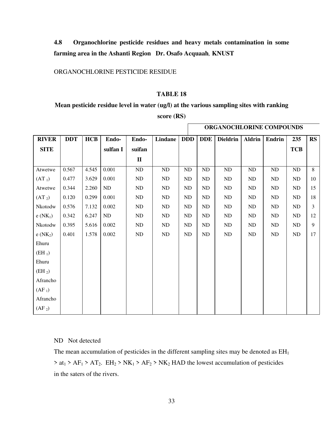**4.8 Organochlorine pesticide residues and heavy metals contamination in some farming area in the Ashanti Region Dr. Osafo Acquaah***,* **KNUST**

# ORGANOCHLORINE PESTICIDE RESIDUE

## **TABLE 18**

### **Mean pesticide residue level in water (ug/l) at the various sampling sites with ranking**

| score $(RS)$ |  |
|--------------|--|
|--------------|--|

|                    |            |            |          |              |         |            | ORGANOCHLORINE COMPOUNDS |                 |               |        |            |           |
|--------------------|------------|------------|----------|--------------|---------|------------|--------------------------|-----------------|---------------|--------|------------|-----------|
| <b>RIVER</b>       | <b>DDT</b> | <b>HCB</b> | Endo-    | Endo-        | Lindane | <b>DDD</b> | <b>DDE</b>               | <b>Dieldrin</b> | <b>Aldrin</b> | Endrin | 235        | <b>RS</b> |
| <b>SITE</b>        |            |            | sulfan I | suifan       |         |            |                          |                 |               |        | <b>TCB</b> |           |
|                    |            |            |          | $\mathbf{I}$ |         |            |                          |                 |               |        |            |           |
| Atwetwe            | 0.567      | 4.545      | 0.001    | ${\rm ND}$   | ND      | ND         | ND                       | ND              | ND            | ND     | ND         | 8         |
| $(AT_1)$           | 0.477      | 3.629      | 0.001    | ND           | ND      | ND         | ND                       | ND              | ND            | ND     | ND         | 10        |
| Atwetwe            | 0.344      | 2.260      | ND       | ND           | ND      | <b>ND</b>  | ND                       | ND              | ND            | ND     | <b>ND</b>  | 15        |
| (AT <sub>2</sub> ) | 0.120      | 0.299      | 0.001    | <b>ND</b>    | ND      | ND         | <b>ND</b>                | ND              | ND            | ND     | <b>ND</b>  | 18        |
| Nkotodw            | 0.576      | 7.132      | 0.002    | ND           | ND      | <b>ND</b>  | <b>ND</b>                | ND              | ND            | ND     | ND         | 3         |
| $e(NK_1)$          | 0.342      | 6.247      | ND       | ND           | ND      | ND         | ND                       | <b>ND</b>       | <b>ND</b>     | ND     | ND         | 12        |
| Nkotodw            | 0.395      | 5.616      | 0.002    | ND           | ND      | ND         | ND                       | ND              | ND            | ND     | ND         | 9         |
| $e(NK_2)$          | 0.401      | 1.578      | 0.002    | ND           | ND      | ND         | ND                       | ND              | <b>ND</b>     | ND     | ND         | 17        |
| Ehuru              |            |            |          |              |         |            |                          |                 |               |        |            |           |
| $(EH_1)$           |            |            |          |              |         |            |                          |                 |               |        |            |           |
| Ehuru              |            |            |          |              |         |            |                          |                 |               |        |            |           |
| $(EH_2)$           |            |            |          |              |         |            |                          |                 |               |        |            |           |
| Afrancho           |            |            |          |              |         |            |                          |                 |               |        |            |           |
| $(AF_1)$           |            |            |          |              |         |            |                          |                 |               |        |            |           |
| Afrancho           |            |            |          |              |         |            |                          |                 |               |        |            |           |
| $(AF_2)$           |            |            |          |              |         |            |                          |                 |               |        |            |           |

#### ND Not detected

The mean accumulation of pesticides in the different sampling sites may be denoted as  $EH<sub>1</sub>$  $> at_1 > AF_1 > AT_2$ . EH<sub>2</sub> > NK<sub>1</sub> > AF<sub>2</sub> > NK<sub>2</sub> HAD the lowest accumulation of pesticides in the saters of the rivers.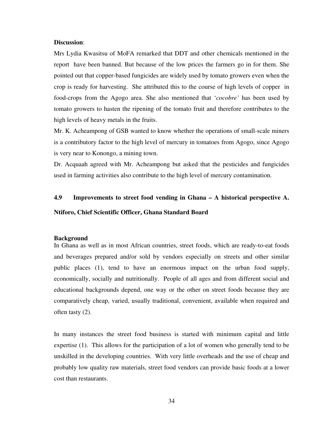#### **Discussion**:

Mrs Lydia Kwasitsu of MoFA remarked that DDT and other chemicals mentioned in the report have been banned. But because of the low prices the farmers go in for them. She pointed out that copper-based fungicides are widely used by tomato growers even when the crop is ready for harvesting. She attributed this to the course of high levels of copper in food-crops from the Agogo area. She also mentioned that '*cocobre'* has been used by tomato growers to hasten the ripening of the tomato fruit and therefore contributes to the high levels of heavy metals in the fruits.

Mr. K. Acheampong of GSB wanted to know whether the operations of small-scale miners is a contributory factor to the high level of mercury in tomatoes from Agogo, since Agogo is very near to Konongo, a mining town.

Dr. Acquaah agreed with Mr. Acheampong but asked that the pesticides and fungicides used in farming activities also contribute to the high level of mercury contamination.

# **4.9 Improvements to street food vending in Ghana – A historical perspective A.**

# **Ntiforo, Chief Scientific Officer, Ghana Standard Board**

#### **Background**

In Ghana as well as in most African countries, street foods, which are ready-to-eat foods and beverages prepared and/or sold by vendors especially on streets and other similar public places (1), tend to have an enormous impact on the urban food supply, economically, socially and nutritionally. People of all ages and from different social and educational backgrounds depend, one way or the other on street foods because they are comparatively cheap, varied, usually traditional, convenient, available when required and often tasty (2).

In many instances the street food business is started with minimum capital and little expertise (1). This allows for the participation of a lot of women who generally tend to be unskilled in the developing countries. With very little overheads and the use of cheap and probably low quality raw materials, street food vendors can provide basic foods at a lower cost than restaurants.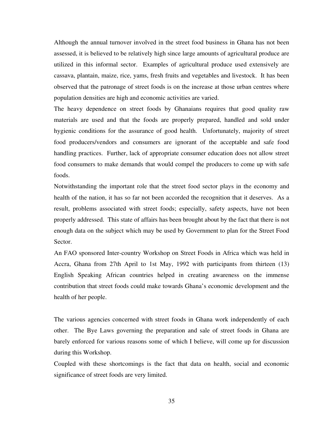Although the annual turnover involved in the street food business in Ghana has not been assessed, it is believed to be relatively high since large amounts of agricultural produce are utilized in this informal sector. Examples of agricultural produce used extensively are cassava, plantain, maize, rice, yams, fresh fruits and vegetables and livestock. It has been observed that the patronage of street foods is on the increase at those urban centres where population densities are high and economic activities are varied.

The heavy dependence on street foods by Ghanaians requires that good quality raw materials are used and that the foods are properly prepared, handled and sold under hygienic conditions for the assurance of good health. Unfortunately, majority of street food producers/vendors and consumers are ignorant of the acceptable and safe food handling practices. Further, lack of appropriate consumer education does not allow street food consumers to make demands that would compel the producers to come up with safe foods.

Notwithstanding the important role that the street food sector plays in the economy and health of the nation, it has so far not been accorded the recognition that it deserves. As a result, problems associated with street foods; especially, safety aspects, have not been properly addressed. This state of affairs has been brought about by the fact that there is not enough data on the subject which may be used by Government to plan for the Street Food Sector.

An FAO sponsored Inter-country Workshop on Street Foods in Africa which was held in Accra, Ghana from 27th April to 1st May, 1992 with participants from thirteen (13) English Speaking African countries helped in creating awareness on the immense contribution that street foods could make towards Ghana's economic development and the health of her people.

The various agencies concerned with street foods in Ghana work independently of each other. The Bye Laws governing the preparation and sale of street foods in Ghana are barely enforced for various reasons some of which I believe, will come up for discussion during this Workshop.

Coupled with these shortcomings is the fact that data on health, social and economic significance of street foods are very limited.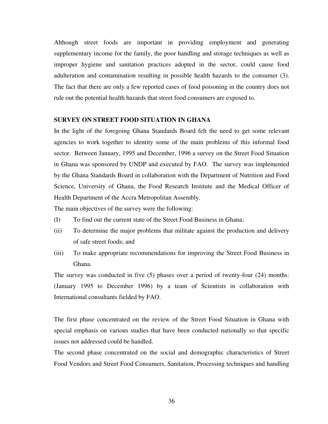Although street foods are important in providing employment and generating supplementary income for the family, the poor handling and storage techniques as well as improper hygiene and sanitation practices adopted in the sector, could cause food adulteration and contamination resulting in possible health hazards to the consumer (3). The fact that there are only a few reported cases of food poisoning in the country does not rule out the potential health hazards that street food consumers are exposed to.

#### **SURVEY ON STREET FOOD SITUATION IN GHANA**

In the light of the foregoing Ghana Standards Board felt the need to get some relevant agencies to work together to identity some of the main problems of this informal food sector. Between January, 1995 and December, 1996 a survey on the Street Food Situation in Ghana was sponsored by UNDP and executed by FAO. The survey was implemented by the Ghana Standards Board in collaboration with the Department of Nutrition and Food Science, University of Ghana, the Food Research Institute and the Medical Officer of Health Department of the Accra Metropolitan Assembly.

The main objectives of the survey were the following:

- (I) To find out the current state of the Street Food Business in Ghana;
- (ii) To determine the major problems that militate against the production and delivery of safe street foods; and
- (iii) To make appropriate recommendations for improving the Street Food Business in Ghana.

The survey was conducted in five (5) phases over a period of twenty-four (24) months: (January 1995 to December 1996) by a team of Scientists in collaboration with International consultants fielded by FAO.

The first phase concentrated on the review of the Street Food Situation in Ghana with special emphasis on various studies that have been conducted nationally so that specific issues not addressed could be handled.

The second phase concentrated on the social and demographic characteristics of Street Food Vendors and Street Food Consumers, Sanitation, Processing techniques and handling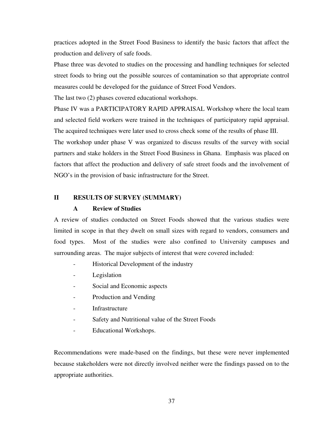practices adopted in the Street Food Business to identify the basic factors that affect the production and delivery of safe foods.

Phase three was devoted to studies on the processing and handling techniques for selected street foods to bring out the possible sources of contamination so that appropriate control measures could be developed for the guidance of Street Food Vendors.

The last two (2) phases covered educational workshops.

Phase IV was a PARTICIPATORY RAPID APPRAISAL Workshop where the local team and selected field workers were trained in the techniques of participatory rapid appraisal. The acquired techniques were later used to cross check some of the results of phase III.

The workshop under phase V was organized to discuss results of the survey with social partners and stake holders in the Street Food Business in Ghana. Emphasis was placed on factors that affect the production and delivery of safe street foods and the involvement of NGO's in the provision of basic infrastructure for the Street.

## **II RESULTS OF SURVEY (SUMMARY)**

#### **A Review of Studies**

A review of studies conducted on Street Foods showed that the various studies were limited in scope in that they dwelt on small sizes with regard to vendors, consumers and food types. Most of the studies were also confined to University campuses and surrounding areas. The major subjects of interest that were covered included:

- Historical Development of the industry
- Legislation
- Social and Economic aspects
- Production and Vending
- **Infrastructure**
- Safety and Nutritional value of the Street Foods
- Educational Workshops.

Recommendations were made-based on the findings, but these were never implemented because stakeholders were not directly involved neither were the findings passed on to the appropriate authorities.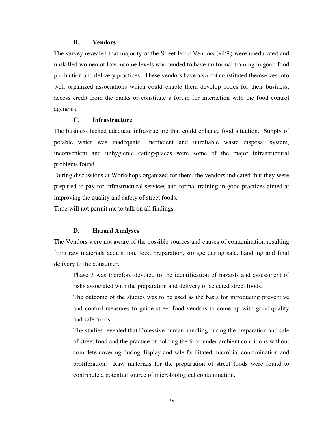#### **B. Vendors**

The survey revealed that majority of the Street Food Vendors (94%) were uneducated and unskilled women of low income levels who tended to have no formal training in good food production and delivery practices. These vendors have also not constituted themselves into well organized associations which could enable them develop codes for their business, access credit from the banks or constitute a forum for interaction with the food control agencies.

### **C. Infrastructure**

The business lacked adequate infrastructure that could enhance food situation. Supply of potable water was inadequate. Inefficient and unreliable waste disposal system, inconvenient and unhygienic eating-places were some of the major infrastructural problems found.

During discussions at Workshops organized for them, the vendors indicated that they were prepared to pay for infrastructural services and formal training in good practices aimed at improving the quality and safety of street foods.

Time will not permit me to talk on all findings.

#### **D. Hazard Analyses**

The Vendors were not aware of the possible sources and causes of contamination resulting from raw materials acquisition, food preparation, storage during sale, handling and final delivery to the consumer.

Phase 3 was therefore devoted to the identification of hazards and assessment of risks associated with the preparation and delivery of selected street foods.

The outcome of the studies was to be used as the basis for introducing preventive and control measures to guide street food vendors to come up with good quality and safe foods.

The studies revealed that Excessive human handling during the preparation and sale of street food and the practice of holding the food under ambient conditions without complete covering during display and sale facilitated microbial contamination and proliferation. Raw materials for the preparation of street foods were found to contribute a potential source of microbiological contamination.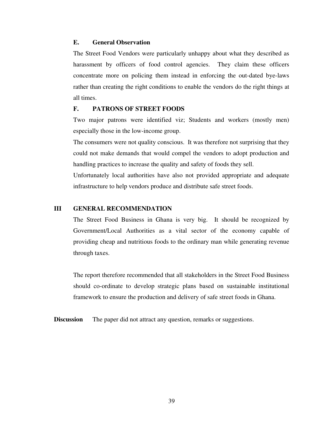### **E. General Observation**

The Street Food Vendors were particularly unhappy about what they described as harassment by officers of food control agencies. They claim these officers concentrate more on policing them instead in enforcing the out-dated bye-laws rather than creating the right conditions to enable the vendors do the right things at all times.

#### **F. PATRONS OF STREET FOODS**

Two major patrons were identified viz; Students and workers (mostly men) especially those in the low-income group.

The consumers were not quality conscious. It was therefore not surprising that they could not make demands that would compel the vendors to adopt production and handling practices to increase the quality and safety of foods they sell.

Unfortunately local authorities have also not provided appropriate and adequate infrastructure to help vendors produce and distribute safe street foods.

### **III GENERAL RECOMMENDATION**

The Street Food Business in Ghana is very big. It should be recognized by Government/Local Authorities as a vital sector of the economy capable of providing cheap and nutritious foods to the ordinary man while generating revenue through taxes.

The report therefore recommended that all stakeholders in the Street Food Business should co-ordinate to develop strategic plans based on sustainable institutional framework to ensure the production and delivery of safe street foods in Ghana.

**Discussion** The paper did not attract any question, remarks or suggestions.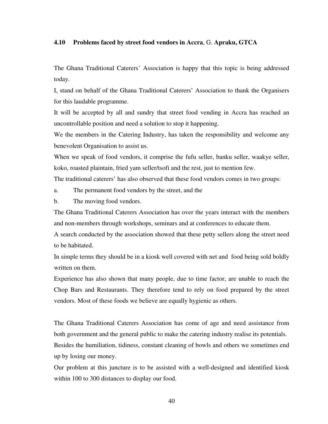### **4.10 Problems faced by street food vendors in Accra**, G. **Apraku, GTCA**

The Ghana Traditional Caterers' Association is happy that this topic is being addressed today.

I, stand on behalf of the Ghana Traditional Caterers' Association to thank the Organisers for this laudable programme.

It will be accepted by all and sundry that street food vending in Accra has reached an uncontrollable position and need a solution to stop it happening.

We the members in the Catering Industry, has taken the responsibility and welcome any benevolent Organisation to assist us.

When we speak of food vendors, it comprise the fufu seller, banku seller, waakye seller, koko, roasted plaintain, fried yam seller/tsofi and the rest, just to mention few.

The traditional caterers' has also observed that these food vendors comes in two groups:

a. The permanent food vendors by the street, and the

b. The moving food vendors.

The Ghana Traditional Caterers Association has over the years interact with the members and non-members through workshops, seminars and at conferences to educate them.

A search conducted by the association showed that these petty sellers along the street need to be habitated.

In simple terms they should be in a kiosk well covered with net and food being sold boldly written on them.

Experience has also shown that many people, due to time factor, are unable to reach the Chop Bars and Restaurants. They therefore tend to rely on food prepared by the street vendors. Most of these foods we believe are equally hygienic as others.

The Ghana Traditional Caterers Association has come of age and need assistance from both government and the general public to make the catering industry realise its potentials. Besides the humiliation, tidiness, constant cleaning of bowls and others we sometimes end

up by losing our money.

Our problem at this juncture is to be assisted with a well-designed and identified kiosk within 100 to 300 distances to display our food.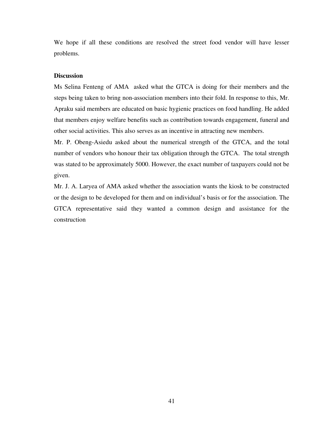We hope if all these conditions are resolved the street food vendor will have lesser problems.

### **Discussion**

Ms Selina Fenteng of AMA asked what the GTCA is doing for their members and the steps being taken to bring non-association members into their fold. In response to this, Mr. Apraku said members are educated on basic hygienic practices on food handling. He added that members enjoy welfare benefits such as contribution towards engagement, funeral and other social activities. This also serves as an incentive in attracting new members.

Mr. P. Obeng-Asiedu asked about the numerical strength of the GTCA, and the total number of vendors who honour their tax obligation through the GTCA. The total strength was stated to be approximately 5000. However, the exact number of taxpayers could not be given.

Mr. J. A. Laryea of AMA asked whether the association wants the kiosk to be constructed or the design to be developed for them and on individual's basis or for the association. The GTCA representative said they wanted a common design and assistance for the construction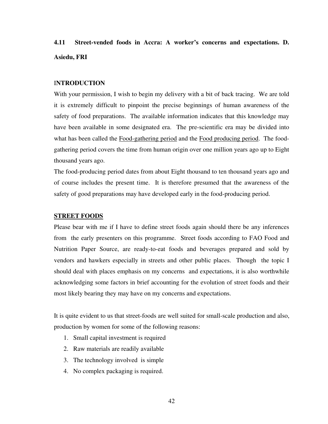# **4.11 Street-vended foods in Accra: A worker's concerns and expectations. D. Asiedu, FRI**

# I**NTRODUCTION**

With your permission, I wish to begin my delivery with a bit of back tracing. We are told it is extremely difficult to pinpoint the precise beginnings of human awareness of the safety of food preparations. The available information indicates that this knowledge may have been available in some designated era. The pre-scientific era may be divided into what has been called the Food-gathering period and the Food producing period. The foodgathering period covers the time from human origin over one million years ago up to Eight thousand years ago.

The food-producing period dates from about Eight thousand to ten thousand years ago and of course includes the present time. It is therefore presumed that the awareness of the safety of good preparations may have developed early in the food-producing period.

### **STREET FOODS**

Please bear with me if I have to define street foods again should there be any inferences from the early presenters on this programme. Street foods according to FAO Food and Nutrition Paper Source, are ready-to-eat foods and beverages prepared and sold by vendors and hawkers especially in streets and other public places. Though the topic I should deal with places emphasis on my concerns and expectations, it is also worthwhile acknowledging some factors in brief accounting for the evolution of street foods and their most likely bearing they may have on my concerns and expectations.

It is quite evident to us that street-foods are well suited for small-scale production and also, production by women for some of the following reasons:

- 1. Small capital investment is required
- 2. Raw materials are readily available
- 3. The technology involved is simple
- 4. No complex packaging is required.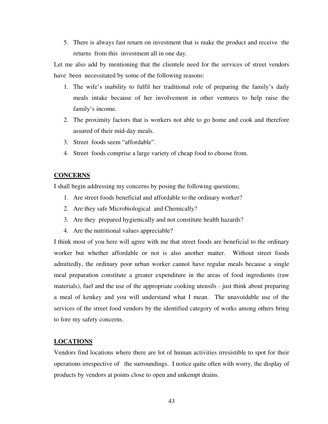5. There is always fast return on investment that is make the product and receive the returns from this investment all in one day.

Let me also add by mentioning that the clientele need for the services of street vendors have been necessitated by some of the following reasons:

- 1. The wife's inability to fulfil her traditional role of preparing the family's daily meals intake because of her involvement in other ventures to help raise the family's income.
- 2. The proximity factors that is workers not able to go home and cook and therefore assured of their mid-day meals.
- 3. Street foods seem "affordable".
- 4. Street foods comprise a large variety of cheap food to choose from.

### **CONCERNS**

I shall begin addressing my concerns by posing the following questions;

- 1. Are street foods beneficial and affordable to the ordinary worker?
- 2. Are they safe Microbiological and Chemically?
- 3. Are they prepared hygienically and not constitute health hazards?
- 4. Are the nutritional values appreciable?

I think most of you here will agree with me that street foods are beneficial to the ordinary worker but whether affordable or not is also another matter. Without street foods admittedly, the ordinary poor urban worker cannot have regular meals because a single meal preparation constitute a greater expenditure in the areas of food ingredients (raw materials), fuel and the use of the appropriate cooking utensils - just think about preparing a meal of kenkey and you will understand what I mean. The unavoidable use of the services of the street food vendors by the identified category of works among others bring to fore my safety concerns.

### **LOCATIONS**

Vendors find locations where there are lot of human activities irresistible to spot for their operations irrespective of the surroundings. I notice quite often with worry, the display of products by vendors at points close to open and unkempt drains.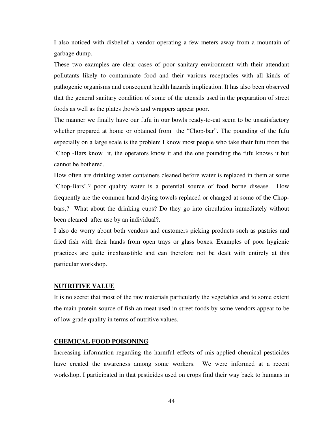I also noticed with disbelief a vendor operating a few meters away from a mountain of garbage dump.

These two examples are clear cases of poor sanitary environment with their attendant pollutants likely to contaminate food and their various receptacles with all kinds of pathogenic organisms and consequent health hazards implication. It has also been observed that the general sanitary condition of some of the utensils used in the preparation of street foods as well as the plates ,bowls and wrappers appear poor.

The manner we finally have our fufu in our bowls ready-to-eat seem to be unsatisfactory whether prepared at home or obtained from the "Chop-bar". The pounding of the fufu especially on a large scale is the problem I know most people who take their fufu from the 'Chop -Bars know it, the operators know it and the one pounding the fufu knows it but cannot be bothered.

How often are drinking water containers cleaned before water is replaced in them at some 'Chop-Bars',? poor quality water is a potential source of food borne disease. How frequently are the common hand drying towels replaced or changed at some of the Chopbars,? What about the drinking cups? Do they go into circulation immediately without been cleaned after use by an individual?.

I also do worry about both vendors and customers picking products such as pastries and fried fish with their hands from open trays or glass boxes. Examples of poor hygienic practices are quite inexhaustible and can therefore not be dealt with entirely at this particular workshop.

#### **NUTRITIVE VALUE**

It is no secret that most of the raw materials particularly the vegetables and to some extent the main protein source of fish an meat used in street foods by some vendors appear to be of low grade quality in terms of nutritive values.

### **CHEMICAL FOOD POISONING**

Increasing information regarding the harmful effects of mis-applied chemical pesticides have created the awareness among some workers. We were informed at a recent workshop, I participated in that pesticides used on crops find their way back to humans in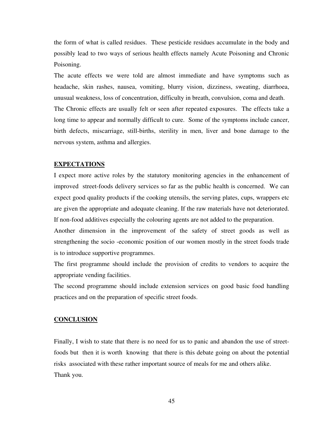the form of what is called residues. These pesticide residues accumulate in the body and possibly lead to two ways of serious health effects namely Acute Poisoning and Chronic Poisoning.

The acute effects we were told are almost immediate and have symptoms such as headache, skin rashes, nausea, vomiting, blurry vision, dizziness, sweating, diarrhoea, unusual weakness, loss of concentration, difficulty in breath, convulsion, coma and death.

The Chronic effects are usually felt or seen after repeated exposures. The effects take a long time to appear and normally difficult to cure. Some of the symptoms include cancer, birth defects, miscarriage, still-births, sterility in men, liver and bone damage to the nervous system, asthma and allergies.

#### **EXPECTATIONS**

I expect more active roles by the statutory monitoring agencies in the enhancement of improved street-foods delivery services so far as the public health is concerned. We can expect good quality products if the cooking utensils, the serving plates, cups, wrappers etc are given the appropriate and adequate cleaning. If the raw materials have not deteriorated. If non-food additives especially the colouring agents are not added to the preparation.

Another dimension in the improvement of the safety of street goods as well as strengthening the socio -economic position of our women mostly in the street foods trade is to introduce supportive programmes.

The first programme should include the provision of credits to vendors to acquire the appropriate vending facilities.

The second programme should include extension services on good basic food handling practices and on the preparation of specific street foods.

#### **CONCLUSION**

Finally, I wish to state that there is no need for us to panic and abandon the use of streetfoods but then it is worth knowing that there is this debate going on about the potential risks associated with these rather important source of meals for me and others alike. Thank you.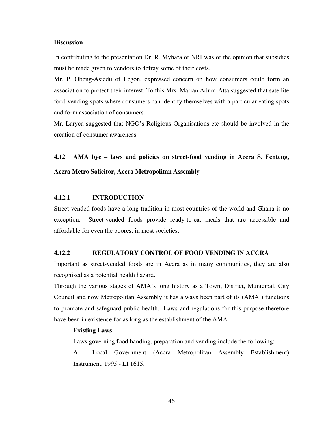#### **Discussion**

In contributing to the presentation Dr. R. Myhara of NRI was of the opinion that subsidies must be made given to vendors to defray some of their costs.

Mr. P. Obeng-Asiedu of Legon, expressed concern on how consumers could form an association to protect their interest. To this Mrs. Marian Adum-Atta suggested that satellite food vending spots where consumers can identify themselves with a particular eating spots and form association of consumers.

Mr. Laryea suggested that NGO's Religious Organisations etc should be involved in the creation of consumer awareness

**4.12 AMA bye – laws and policies on street-food vending in Accra S. Fenteng, Accra Metro Solicitor, Accra Metropolitan Assembly** 

# **4.12.1 INTRODUCTION**

Street vended foods have a long tradition in most countries of the world and Ghana is no exception. Street-vended foods provide ready-to-eat meals that are accessible and affordable for even the poorest in most societies.

#### **4.12.2 REGULATORY CONTROL OF FOOD VENDING IN ACCRA**

Important as street-vended foods are in Accra as in many communities, they are also recognized as a potential health hazard.

Through the various stages of AMA's long history as a Town, District, Municipal, City Council and now Metropolitan Assembly it has always been part of its (AMA ) functions to promote and safeguard public health. Laws and regulations for this purpose therefore have been in existence for as long as the establishment of the AMA.

#### **Existing Laws**

Laws governing food handing, preparation and vending include the following:

A. Local Government (Accra Metropolitan Assembly Establishment) Instrument, 1995 - LI 1615.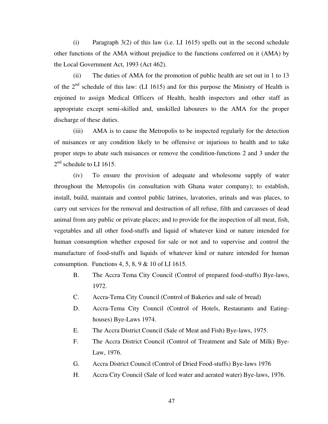(i) Paragraph 3(2) of this law (i.e. LI 1615) spells out in the second schedule other functions of the AMA without prejudice to the functions conferred on it (AMA) by the Local Government Act, 1993 (Act 462).

 (ii) The duties of AMA for the promotion of public health are set out in 1 to 13 of the 2nd schedule of this law: (LI 1615) and for this purpose the Ministry of Health is enjoined to assign Medical Officers of Health, health inspectors and other staff as appropriate except semi-skilled and, unskilled labourers to the AMA for the proper discharge of these duties.

 (iii) AMA is to cause the Metropolis to be inspected regularly for the detection of nuisances or any condition likely to be offensive or injurious to health and to take proper steps to abate such nuisances or remove the condition-functions 2 and 3 under the  $2<sup>nd</sup>$  schedule to LI 1615.

 (iv) To ensure the provision of adequate and wholesome supply of water throughout the Metropolis (in consultation with Ghana water company); to establish, install, build, maintain and control public latrines, lavatories, urinals and was places, to carry out services for the removal and destruction of all refuse, filth and carcasses of dead animal from any public or private places; and to provide for the inspection of all meat, fish, vegetables and all other food-stuffs and liquid of whatever kind or nature intended for human consumption whether exposed for sale or not and to supervise and control the manufacture of food-stuffs and liquids of whatever kind or nature intended for human consumption. Functions 4, 5, 8, 9  $\&$  10 of LI 1615.

- B. The Accra Tema City Council (Control of prepared food-stuffs) Bye-laws, 1972.
- C. Accra-Tema City Council (Control of Bakeries and sale of bread)
- D. Accra-Tema City Council (Control of Hotels, Restaurants and Eatinghouses) Bye-Laws 1974.
- E. The Accra District Council (Sale of Meat and Fish) Bye-laws, 1975.
- F. The Accra District Council (Control of Treatment and Sale of Milk) Bye-Law, 1976.
- G. Accra District Council (Control of Dried Food-stuffs) Bye-laws 1976
- H. Accra City Council (Sale of Iced water and aerated water) Bye-laws, 1976.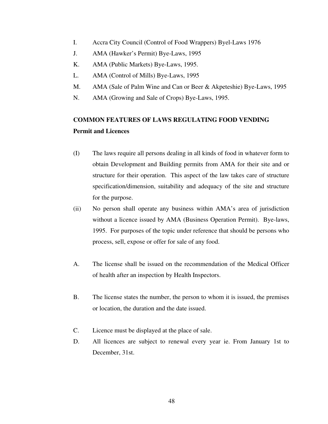- I. Accra City Council (Control of Food Wrappers) Byel-Laws 1976
- J. AMA (Hawker's Permit) Bye-Laws, 1995
- K. AMA (Public Markets) Bye-Laws, 1995.
- L. AMA (Control of Mills) Bye-Laws, 1995
- M. AMA (Sale of Palm Wine and Can or Beer & Akpeteshie) Bye-Laws, 1995
- N. AMA (Growing and Sale of Crops) Bye-Laws, 1995.

# **COMMON FEATURES OF LAWS REGULATING FOOD VENDING Permit and Licences**

- (I) The laws require all persons dealing in all kinds of food in whatever form to obtain Development and Building permits from AMA for their site and or structure for their operation. This aspect of the law takes care of structure specification/dimension, suitability and adequacy of the site and structure for the purpose.
- (ii) No person shall operate any business within AMA's area of jurisdiction without a licence issued by AMA (Business Operation Permit). Bye-laws, 1995. For purposes of the topic under reference that should be persons who process, sell, expose or offer for sale of any food.
- A. The license shall be issued on the recommendation of the Medical Officer of health after an inspection by Health Inspectors.
- B. The license states the number, the person to whom it is issued, the premises or location, the duration and the date issued.
- C. Licence must be displayed at the place of sale.
- D. All licences are subject to renewal every year ie. From January 1st to December, 31st.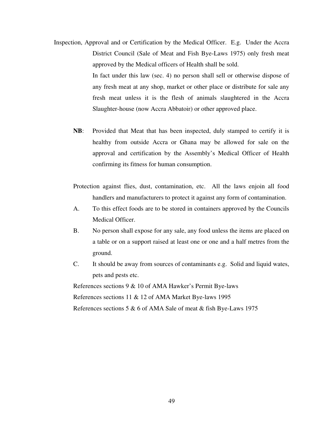- Inspection, Approval and or Certification by the Medical Officer. E.g. Under the Accra District Council (Sale of Meat and Fish Bye-Laws 1975) only fresh meat approved by the Medical officers of Health shall be sold. In fact under this law (sec. 4) no person shall sell or otherwise dispose of any fresh meat at any shop, market or other place or distribute for sale any fresh meat unless it is the flesh of animals slaughtered in the Accra Slaughter-house (now Accra Abbatoir) or other approved place.
	- **NB**: Provided that Meat that has been inspected, duly stamped to certify it is healthy from outside Accra or Ghana may be allowed for sale on the approval and certification by the Assembly's Medical Officer of Health confirming its fitness for human consumption.
	- Protection against flies, dust, contamination, etc. All the laws enjoin all food handlers and manufacturers to protect it against any form of contamination.
	- A. To this effect foods are to be stored in containers approved by the Councils Medical Officer.
	- B. No person shall expose for any sale, any food unless the items are placed on a table or on a support raised at least one or one and a half metres from the ground.
	- C. It should be away from sources of contaminants e.g. Solid and liquid wates, pets and pests etc.

References sections 9 & 10 of AMA Hawker's Permit Bye-laws

References sections 11 & 12 of AMA Market Bye-laws 1995

References sections 5 & 6 of AMA Sale of meat & fish Bye-Laws 1975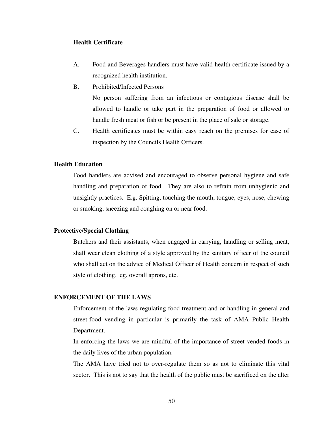### **Health Certificate**

- A. Food and Beverages handlers must have valid health certificate issued by a recognized health institution.
- B. Prohibited/Infected Persons

No person suffering from an infectious or contagious disease shall be allowed to handle or take part in the preparation of food or allowed to handle fresh meat or fish or be present in the place of sale or storage.

 C. Health certificates must be within easy reach on the premises for ease of inspection by the Councils Health Officers.

#### **Health Education**

Food handlers are advised and encouraged to observe personal hygiene and safe handling and preparation of food. They are also to refrain from unhygienic and unsightly practices. E.g. Spitting, touching the mouth, tongue, eyes, nose, chewing or smoking, sneezing and coughing on or near food.

### **Protective/Special Clothing**

Butchers and their assistants, when engaged in carrying, handling or selling meat, shall wear clean clothing of a style approved by the sanitary officer of the council who shall act on the advice of Medical Officer of Health concern in respect of such style of clothing. eg. overall aprons, etc.

# **ENFORCEMENT OF THE LAWS**

Enforcement of the laws regulating food treatment and or handling in general and street-food vending in particular is primarily the task of AMA Public Health Department.

In enforcing the laws we are mindful of the importance of street vended foods in the daily lives of the urban population.

The AMA have tried not to over-regulate them so as not to eliminate this vital sector. This is not to say that the health of the public must be sacrificed on the alter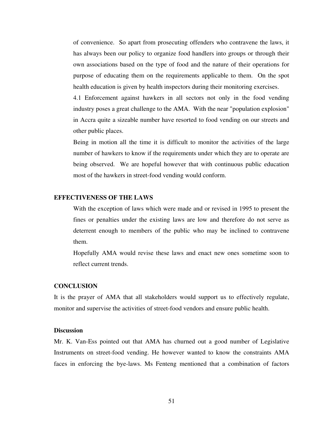of convenience. So apart from prosecuting offenders who contravene the laws, it has always been our policy to organize food handlers into groups or through their own associations based on the type of food and the nature of their operations for purpose of educating them on the requirements applicable to them. On the spot health education is given by health inspectors during their monitoring exercises.

4.1 Enforcement against hawkers in all sectors not only in the food vending industry poses a great challenge to the AMA. With the near "population explosion" in Accra quite a sizeable number have resorted to food vending on our streets and other public places.

Being in motion all the time it is difficult to monitor the activities of the large number of hawkers to know if the requirements under which they are to operate are being observed. We are hopeful however that with continuous public education most of the hawkers in street-food vending would conform.

# **EFFECTIVENESS OF THE LAWS**

With the exception of laws which were made and or revised in 1995 to present the fines or penalties under the existing laws are low and therefore do not serve as deterrent enough to members of the public who may be inclined to contravene them.

Hopefully AMA would revise these laws and enact new ones sometime soon to reflect current trends.

#### **CONCLUSION**

It is the prayer of AMA that all stakeholders would support us to effectively regulate, monitor and supervise the activities of street-food vendors and ensure public health.

# **Discussion**

Mr. K. Van-Ess pointed out that AMA has churned out a good number of Legislative Instruments on street-food vending. He however wanted to know the constraints AMA faces in enforcing the bye-laws. Ms Fenteng mentioned that a combination of factors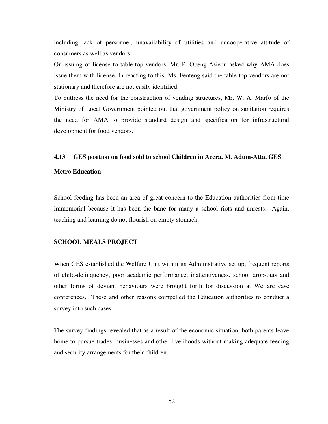including lack of personnel, unavailability of utilities and uncooperative attitude of consumers as well as vendors.

On issuing of license to table-top vendors, Mr. P. Obeng-Asiedu asked why AMA does issue them with license. In reacting to this, Ms. Fenteng said the table-top vendors are not stationary and therefore are not easily identified.

To buttress the need for the construction of vending structures, Mr. W. A. Marfo of the Ministry of Local Government pointed out that government policy on sanitation requires the need for AMA to provide standard design and specification for infrastructural development for food vendors.

#### **4.13 GES position on food sold to school Children in Accra. M. Adum-Atta, GES**

#### **Metro Education**

School feeding has been an area of great concern to the Education authorities from time immemorial because it has been the bane for many a school riots and unrests. Again, teaching and learning do not flourish on empty stomach.

#### **SCHOOL MEALS PROJECT**

When GES established the Welfare Unit within its Administrative set up, frequent reports of child-delinquency, poor academic performance, inattentiveness, school drop-outs and other forms of deviant behaviours were brought forth for discussion at Welfare case conferences. These and other reasons compelled the Education authorities to conduct a survey into such cases.

The survey findings revealed that as a result of the economic situation, both parents leave home to pursue trades, businesses and other livelihoods without making adequate feeding and security arrangements for their children.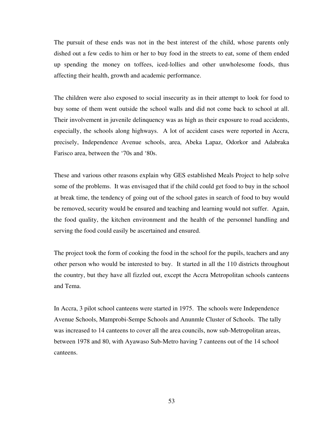The pursuit of these ends was not in the best interest of the child, whose parents only dished out a few cedis to him or her to buy food in the streets to eat, some of them ended up spending the money on toffees, iced-lollies and other unwholesome foods, thus affecting their health, growth and academic performance.

The children were also exposed to social insecurity as in their attempt to look for food to buy some of them went outside the school walls and did not come back to school at all. Their involvement in juvenile delinquency was as high as their exposure to road accidents, especially, the schools along highways. A lot of accident cases were reported in Accra, precisely, Independence Avenue schools, area, Abeka Lapaz, Odorkor and Adabraka Farisco area, between the '70s and '80s.

These and various other reasons explain why GES established Meals Project to help solve some of the problems. It was envisaged that if the child could get food to buy in the school at break time, the tendency of going out of the school gates in search of food to buy would be removed, security would be ensured and teaching and learning would not suffer. Again, the food quality, the kitchen environment and the health of the personnel handling and serving the food could easily be ascertained and ensured.

The project took the form of cooking the food in the school for the pupils, teachers and any other person who would be interested to buy. It started in all the 110 districts throughout the country, but they have all fizzled out, except the Accra Metropolitan schools canteens and Tema.

In Accra, 3 pilot school canteens were started in 1975. The schools were Independence Avenue Schools, Mamprobi-Sempe Schools and Anunmle Cluster of Schools. The tally was increased to 14 canteens to cover all the area councils, now sub-Metropolitan areas, between 1978 and 80, with Ayawaso Sub-Metro having 7 canteens out of the 14 school canteens.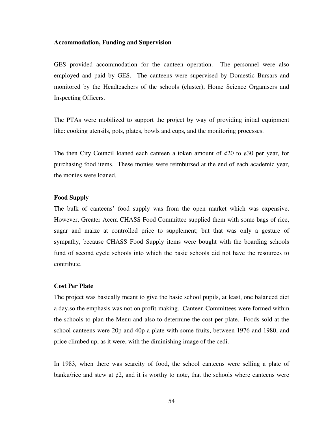#### **Accommodation, Funding and Supervision**

GES provided accommodation for the canteen operation. The personnel were also employed and paid by GES. The canteens were supervised by Domestic Bursars and monitored by the Headteachers of the schools (cluster), Home Science Organisers and Inspecting Officers.

The PTAs were mobilized to support the project by way of providing initial equipment like: cooking utensils, pots, plates, bowls and cups, and the monitoring processes.

The then City Council loaned each canteen a token amount of  $\varphi$ 20 to  $\varphi$ 30 per year, for purchasing food items. These monies were reimbursed at the end of each academic year, the monies were loaned.

### **Food Supply**

The bulk of canteens' food supply was from the open market which was expensive. However, Greater Accra CHASS Food Committee supplied them with some bags of rice, sugar and maize at controlled price to supplement; but that was only a gesture of sympathy, because CHASS Food Supply items were bought with the boarding schools fund of second cycle schools into which the basic schools did not have the resources to contribute.

#### **Cost Per Plate**

The project was basically meant to give the basic school pupils, at least, one balanced diet a day,so the emphasis was not on profit-making. Canteen Committees were formed within the schools to plan the Menu and also to determine the cost per plate. Foods sold at the school canteens were 20p and 40p a plate with some fruits, between 1976 and 1980, and price climbed up, as it were, with the diminishing image of the cedi.

In 1983, when there was scarcity of food, the school canteens were selling a plate of banku/rice and stew at  $\varphi$ 2, and it is worthy to note, that the schools where canteens were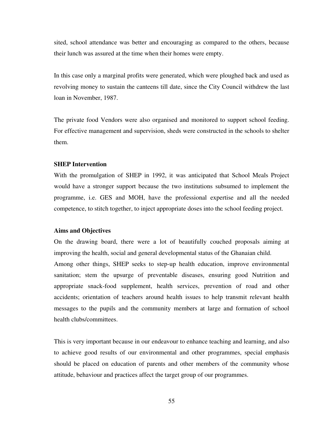sited, school attendance was better and encouraging as compared to the others, because their lunch was assured at the time when their homes were empty.

In this case only a marginal profits were generated, which were ploughed back and used as revolving money to sustain the canteens till date, since the City Council withdrew the last loan in November, 1987.

The private food Vendors were also organised and monitored to support school feeding. For effective management and supervision, sheds were constructed in the schools to shelter them.

#### **SHEP Intervention**

With the promulgation of SHEP in 1992, it was anticipated that School Meals Project would have a stronger support because the two institutions subsumed to implement the programme, i.e. GES and MOH, have the professional expertise and all the needed competence, to stitch together, to inject appropriate doses into the school feeding project.

### **Aims and Objectives**

On the drawing board, there were a lot of beautifully couched proposals aiming at improving the health, social and general developmental status of the Ghanaian child.

Among other things, SHEP seeks to step-up health education, improve environmental sanitation; stem the upsurge of preventable diseases, ensuring good Nutrition and appropriate snack-food supplement, health services, prevention of road and other accidents; orientation of teachers around health issues to help transmit relevant health messages to the pupils and the community members at large and formation of school health clubs/committees.

This is very important because in our endeavour to enhance teaching and learning, and also to achieve good results of our environmental and other programmes, special emphasis should be placed on education of parents and other members of the community whose attitude, behaviour and practices affect the target group of our programmes.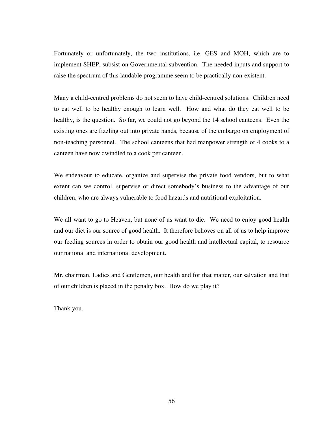Fortunately or unfortunately, the two institutions, i.e. GES and MOH, which are to implement SHEP, subsist on Governmental subvention. The needed inputs and support to raise the spectrum of this laudable programme seem to be practically non-existent.

Many a child-centred problems do not seem to have child-centred solutions. Children need to eat well to be healthy enough to learn well. How and what do they eat well to be healthy, is the question. So far, we could not go beyond the 14 school canteens. Even the existing ones are fizzling out into private hands, because of the embargo on employment of non-teaching personnel. The school canteens that had manpower strength of 4 cooks to a canteen have now dwindled to a cook per canteen.

We endeavour to educate, organize and supervise the private food vendors, but to what extent can we control, supervise or direct somebody's business to the advantage of our children, who are always vulnerable to food hazards and nutritional exploitation.

We all want to go to Heaven, but none of us want to die. We need to enjoy good health and our diet is our source of good health. It therefore behoves on all of us to help improve our feeding sources in order to obtain our good health and intellectual capital, to resource our national and international development.

Mr. chairman, Ladies and Gentlemen, our health and for that matter, our salvation and that of our children is placed in the penalty box. How do we play it?

Thank you.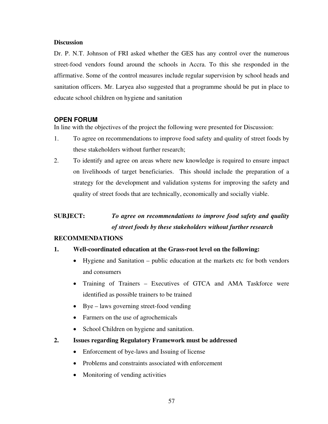# **Discussion**

Dr. P. N.T. Johnson of FRI asked whether the GES has any control over the numerous street-food vendors found around the schools in Accra. To this she responded in the affirmative. Some of the control measures include regular supervision by school heads and sanitation officers. Mr. Laryea also suggested that a programme should be put in place to educate school children on hygiene and sanitation

# **OPEN FORUM**

In line with the objectives of the project the following were presented for Discussion:

- 1. To agree on recommendations to improve food safety and quality of street foods by these stakeholders without further research;
- 2. To identify and agree on areas where new knowledge is required to ensure impact on livelihoods of target beneficiaries. This should include the preparation of a strategy for the development and validation systems for improving the safety and quality of street foods that are technically, economically and socially viable.

# **SUBJECT:** *To agree on recommendations to improve food safety and quality of street foods by these stakeholders without further research*

# **RECOMMENDATIONS**

# **1. Well-coordinated education at the Grass-root level on the following:**

- Hygiene and Sanitation public education at the markets etc for both vendors and consumers
- Training of Trainers Executives of GTCA and AMA Taskforce were identified as possible trainers to be trained
- Bye laws governing street-food vending
- Farmers on the use of agrochemicals
- School Children on hygiene and sanitation.
- **2. Issues regarding Regulatory Framework must be addressed** 
	- Enforcement of bye-laws and Issuing of license
	- Problems and constraints associated with enforcement
	- Monitoring of vending activities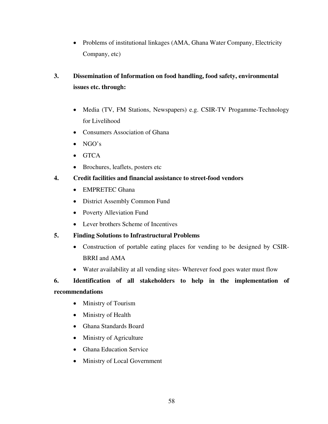• Problems of institutional linkages (AMA, Ghana Water Company, Electricity Company, etc)

# **3. Dissemination of Information on food handling, food safety, environmental issues etc. through:**

- Media (TV, FM Stations, Newspapers) e.g. CSIR-TV Progamme-Technology for Livelihood
- Consumers Association of Ghana
- $\bullet$  NGO's
- $\bullet$  GTCA
- Brochures, leaflets, posters etc

# **4. Credit facilities and financial assistance to street-food vendors**

- EMPRETEC Ghana
- District Assembly Common Fund
- Poverty Alleviation Fund
- Lever brothers Scheme of Incentives

# **5. Finding Solutions to Infrastructural Problems**

- Construction of portable eating places for vending to be designed by CSIR-BRRI and AMA
- Water availability at all vending sites-Wherever food goes water must flow

# **6. Identification of all stakeholders to help in the implementation of**

# **recommendations**

- Ministry of Tourism
- Ministry of Health
- Ghana Standards Board
- Ministry of Agriculture
- **•** Ghana Education Service
- Ministry of Local Government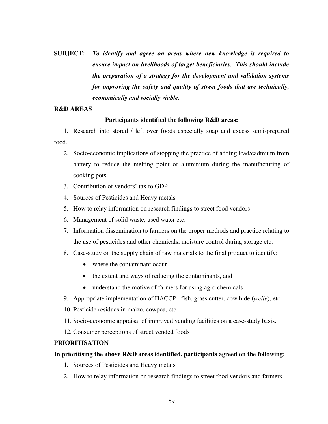**SUBJECT:** *To identify and agree on areas where new knowledge is required to ensure impact on livelihoods of target beneficiaries. This should include the preparation of a strategy for the development and validation systems for improving the safety and quality of street foods that are technically, economically and socially viable.* 

## **R&D AREAS**

# **Participants identified the following R&D areas:**

1. Research into stored / left over foods especially soap and excess semi-prepared food.

- 2. Socio-economic implications of stopping the practice of adding lead/cadmium from battery to reduce the melting point of aluminium during the manufacturing of cooking pots.
- 3. Contribution of vendors' tax to GDP
- 4. Sources of Pesticides and Heavy metals
- 5. How to relay information on research findings to street food vendors
- 6. Management of solid waste, used water etc.
- 7. Information dissemination to farmers on the proper methods and practice relating to the use of pesticides and other chemicals, moisture control during storage etc.
- 8. Case-study on the supply chain of raw materials to the final product to identify:
	- where the contaminant occur
	- the extent and ways of reducing the contaminants, and
	- understand the motive of farmers for using agro chemicals
- 9. Appropriate implementation of HACCP: fish, grass cutter, cow hide (*welle*), etc.
- 10. Pesticide residues in maize, cowpea, etc.
- 11. Socio-economic appraisal of improved vending facilities on a case-study basis.
- 12. Consumer perceptions of street vended foods

# **PRIORITISATION**

# **In prioritising the above R&D areas identified, participants agreed on the following:**

- **1.** Sources of Pesticides and Heavy metals
- 2. How to relay information on research findings to street food vendors and farmers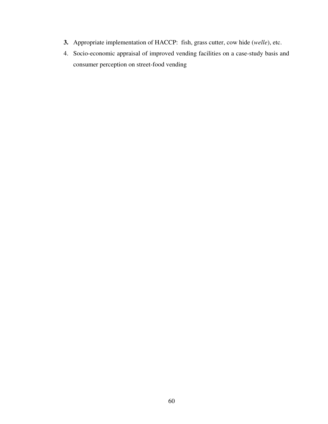- **3.** Appropriate implementation of HACCP: fish, grass cutter, cow hide (*welle*), etc.
- 4. Socio-economic appraisal of improved vending facilities on a case-study basis and consumer perception on street-food vending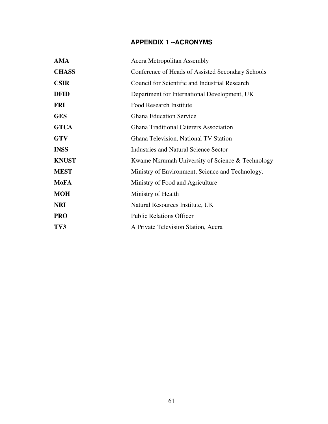# **APPENDIX 1 --ACRONYMS**

| <b>AMA</b>   | <b>Accra Metropolitan Assembly</b>                    |
|--------------|-------------------------------------------------------|
| <b>CHASS</b> | Conference of Heads of Assisted Secondary Schools     |
| <b>CSIR</b>  | <b>Council for Scientific and Industrial Research</b> |
| <b>DFID</b>  | Department for International Development, UK          |
| <b>FRI</b>   | <b>Food Research Institute</b>                        |
| <b>GES</b>   | <b>Ghana Education Service</b>                        |
| <b>GTCA</b>  | <b>Ghana Traditional Caterers Association</b>         |
| <b>GTV</b>   | Ghana Television, National TV Station                 |
| <b>INSS</b>  | <b>Industries and Natural Science Sector</b>          |
| <b>KNUST</b> | Kwame Nkrumah University of Science & Technology      |
| <b>MEST</b>  | Ministry of Environment, Science and Technology.      |
| <b>MoFA</b>  | Ministry of Food and Agriculture                      |
| <b>MOH</b>   | Ministry of Health                                    |
| <b>NRI</b>   | Natural Resources Institute, UK                       |
| <b>PRO</b>   | <b>Public Relations Officer</b>                       |
| TV3          | A Private Television Station, Accra                   |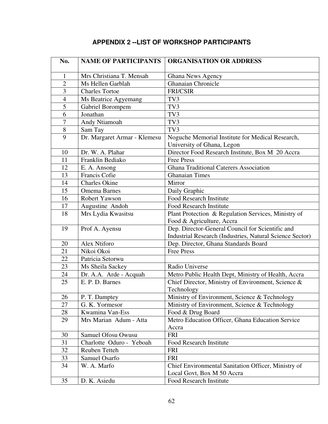# **APPENDIX 2 --LIST OF WORKSHOP PARTICIPANTS**

| No.                      | <b>NAME OF PARTICIPANTS</b>  | <b>ORGANISATION OR ADDRESS</b>                                   |
|--------------------------|------------------------------|------------------------------------------------------------------|
| $\mathbf{1}$             | Mrs Christiana T. Mensah     | Ghana News Agency                                                |
| $\overline{2}$           | Ms Hellen Garblah            | <b>Ghanaian Chronicle</b>                                        |
| $\overline{3}$           | <b>Charles Tortoe</b>        | <b>FRI/CSIR</b>                                                  |
| $\overline{\mathcal{L}}$ | Ms Beatrice Agyemang         | TV3                                                              |
| 5                        | Gabriel Borompem             | TV3                                                              |
| 6                        | Jonathan                     | TV3                                                              |
| 7                        | Andy Ntiamoah                | TV3                                                              |
| 8                        | Sam Tay                      | TV3                                                              |
| 9                        | Dr. Margaret Armar - Klemesu | Noguche Memorial Institute for Medical Research,                 |
|                          |                              | University of Ghana, Legon                                       |
| 10                       | Dr. W. A. Plahar             | Director Food Research Institute, Box M 20 Accra                 |
| 11                       | Franklin Bediako             | <b>Free Press</b>                                                |
| 12                       | E. A. Ansong                 | Ghana Traditional Caterers Association                           |
| 13                       | <b>Francis Cofie</b>         | <b>Ghanaian Times</b>                                            |
| 14                       | <b>Charles Okine</b>         | Mirror                                                           |
| 15                       | <b>Omema Barnes</b>          | Daily Graphic                                                    |
| 16                       | Robert Yawson                | <b>Food Research Institute</b>                                   |
| 17                       | Augustine Andoh              | <b>Food Research Institute</b>                                   |
| 18                       | Mrs Lydia Kwasitsu           | Plant Protection & Regulation Services, Ministry of              |
|                          |                              | Food & Agriculture, Accra                                        |
| 19                       | Prof A. Ayensu               | Dep. Director-General Council for Scientific and                 |
|                          |                              | <b>Industrial Research (Industries, Natural Science Sector)</b>  |
| 20                       | Alex Ntiforo                 | Dep. Director, Ghana Standards Board                             |
| 21                       | Nikoi Okoi                   | <b>Free Press</b>                                                |
| 22                       | Patricia Setorwu             |                                                                  |
| 23                       | Ms Sheila Sackey             | Radio Universe                                                   |
| 24                       | Dr. A.A. Arde - Acquah       | Metro Public Health Dept, Ministry of Health, Accra              |
| 25                       | E. P. D. Barnes              | Chief Director, Ministry of Environment, Science &<br>Technology |
| 26                       | P. T. Damptey                | Ministry of Environment, Science & Technology                    |
| 27                       | G. K. Yormesor               | Ministry of Environment, Science & Technology                    |
| 28                       | Kwamina Van-Ess              | Food & Drug Board                                                |
| 29                       | Mrs Marian Adum - Atta       | Metro Education Officer, Ghana Education Service                 |
|                          |                              | Accra                                                            |
| 30                       | Samuel Ofosu Owusu           | <b>FRI</b>                                                       |
| 31                       | Charlotte Oduro - Yeboah     | Food Research Institute                                          |
| 32                       | Reuben Tetteh                | <b>FRI</b>                                                       |
| 33                       | Samuel Osarfo                | FRI                                                              |
| 34                       | W. A. Marfo                  | Chief Environmental Sanitation Officer, Ministry of              |
|                          |                              | Local Govt, Box M 50 Accra                                       |
| 35                       | D. K. Asiedu                 | <b>Food Research Institute</b>                                   |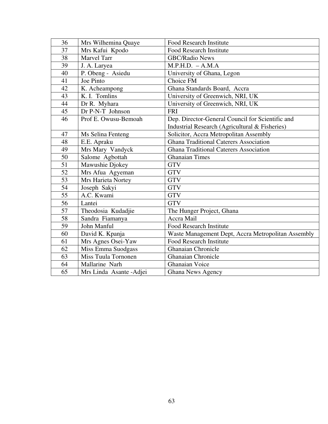| 36 | Mrs Wilhemina Quaye        | <b>Food Research Institute</b>                     |
|----|----------------------------|----------------------------------------------------|
| 37 | Mrs Kafui Kpodo            | <b>Food Research Institute</b>                     |
| 38 | <b>Marvel Tarr</b>         | <b>GBC/Radio News</b>                              |
| 39 | J. A. Laryea               | $M.P.H.D. - A.M.A$                                 |
| 40 | P. Obeng - Asiedu          | University of Ghana, Legon                         |
| 41 | Joe Pinto                  | Choice FM                                          |
| 42 | K. Acheampong              | Ghana Standards Board, Accra                       |
| 43 | K. I. Tomlins              | University of Greenwich, NRI, UK                   |
| 44 | Dr R. Myhara               | University of Greenwich, NRI, UK                   |
| 45 | Dr P-N-T Johnson           | <b>FRI</b>                                         |
| 46 | Prof E. Owusu-Bemoah       | Dep. Director-General Council for Scientific and   |
|    |                            | Industrial Research (Agricultural & Fisheries)     |
| 47 | Ms Selina Fenteng          | Solicitor, Accra Metropolitan Assembly             |
| 48 | E.E. Apraku                | <b>Ghana Traditional Caterers Association</b>      |
| 49 | Mrs Mary Vandyck           | <b>Ghana Traditional Caterers Association</b>      |
| 50 | Salome Agbottah            | <b>Ghanaian Times</b>                              |
| 51 | Mawushie Djokey            | <b>GTV</b>                                         |
| 52 | Mrs Afua Agyeman           | <b>GTV</b>                                         |
| 53 | Mrs Harieta Nortey         | <b>GTV</b>                                         |
| 54 | Joseph Sakyi               | <b>GTV</b>                                         |
| 55 | A.C. Kwami                 | <b>GTV</b>                                         |
| 56 | Lantei                     | <b>GTV</b>                                         |
| 57 | Theodosia Kudadjie         | The Hunger Project, Ghana                          |
| 58 | Sandra Fiamanya            | Accra Mail                                         |
| 59 | John Manful                | <b>Food Research Institute</b>                     |
| 60 | David K. Kpanja            | Waste Management Dept, Accra Metropolitan Assembly |
| 61 | Mrs Agnes Osei-Yaw         | <b>Food Research Institute</b>                     |
| 62 | Miss Emma Suodgass         | <b>Ghanaian Chronicle</b>                          |
| 63 | <b>Miss Tuula Tornonen</b> | Ghanaian Chronicle                                 |
| 64 | Mallarine Narh             | <b>Ghanaian Voice</b>                              |
| 65 | Mrs Linda Asante - Adjei   | <b>Ghana News Agency</b>                           |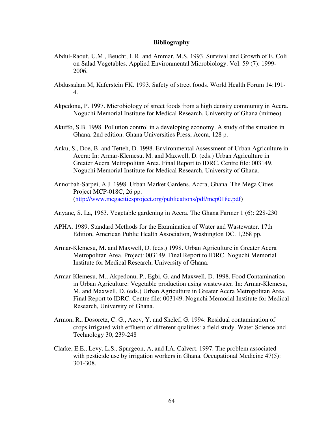#### **Bibliography**

- Abdul-Raouf, U.M., Beucht, L.R. and Ammar, M.S. 1993. Survival and Growth of E. Coli on Salad Vegetables. Applied Environmental Microbiology. Vol. 59 (7): 1999- 2006.
- Abdussalam M, Kaferstein FK. 1993. Safety of street foods. World Health Forum 14:191- 4.
- Akpedonu, P. 1997. Microbiology of street foods from a high density community in Accra. Noguchi Memorial Institute for Medical Research, University of Ghana (mimeo).
- Akuffo, S.B. 1998. Pollution control in a developing economy. A study of the situation in Ghana. 2nd edition. Ghana Universities Press, Accra, 128 p.
- Anku, S., Doe, B. and Tetteh, D. 1998. Environmental Assessment of Urban Agriculture in Accra: In: Armar-Klemesu, M. and Maxwell, D. (eds.) Urban Agriculture in Greater Accra Metropolitan Area. Final Report to IDRC. Centre file: 003149. Noguchi Memorial Institute for Medical Research, University of Ghana.
- Annorbah-Sarpei, A.J. 1998. Urban Market Gardens. Accra, Ghana. The Mega Cities Project MCP-018C, 26 pp. (http://www.megacitiesproject.org/publications/pdf/mcp018c.pdf)
- Anyane, S. La, 1963. Vegetable gardening in Accra. The Ghana Farmer 1 (6): 228-230
- APHA. 1989. Standard Methods for the Examination of Water and Wastewater. 17th Edition, American Public Health Association, Washington DC. 1,268 pp.
- Armar-Klemesu, M. and Maxwell, D. (eds.) 1998. Urban Agriculture in Greater Accra Metropolitan Area. Project: 003149. Final Report to IDRC. Noguchi Memorial Institute for Medical Research, University of Ghana.
- Armar-Klemesu, M., Akpedonu, P., Egbi, G. and Maxwell, D. 1998. Food Contamination in Urban Agriculture: Vegetable production using wastewater. In: Armar-Klemesu, M. and Maxwell, D. (eds.) Urban Agriculture in Greater Accra Metropolitan Area. Final Report to IDRC. Centre file: 003149. Noguchi Memorial Institute for Medical Research, University of Ghana.
- Armon, R., Dosoretz, C. G., Azov, Y. and Shelef, G. 1994: Residual contamination of crops irrigated with effluent of different qualities: a field study. Water Science and Technology 30, 239-248
- Clarke, E.E., Levy, L.S., Spurgeon, A, and I.A. Calvert. 1997. The problem associated with pesticide use by irrigation workers in Ghana. Occupational Medicine 47(5): 301-308.